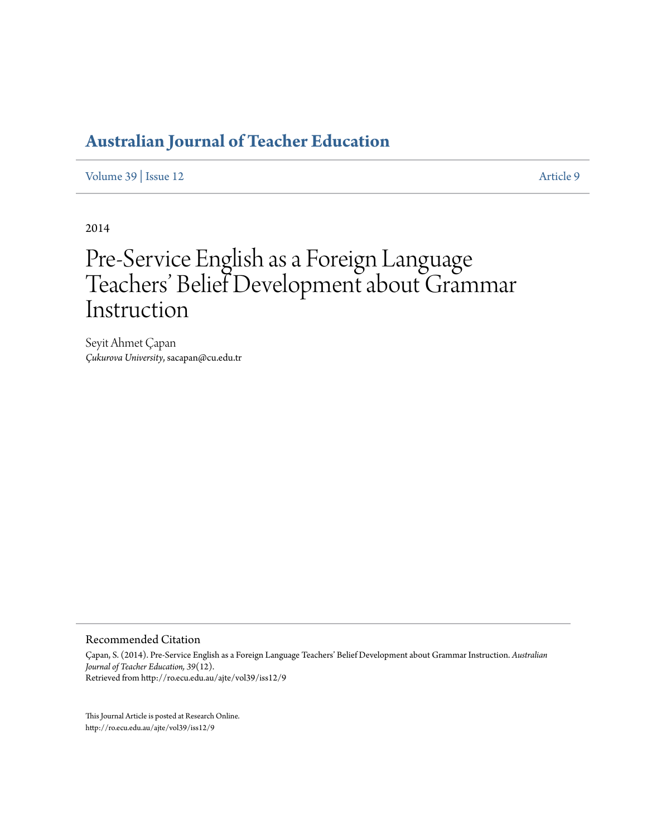## **[Australian Journal of Teacher Education](http://ro.ecu.edu.au/ajte)**

[Volume 39](http://ro.ecu.edu.au/ajte/vol39) | [Issue 12](http://ro.ecu.edu.au/ajte/vol39/iss12) [Article 9](http://ro.ecu.edu.au/ajte/vol39/iss12/9)

2014

# Pre-Service English as a Foreign Language Teachers' Belief Development about Grammar Instruction

Seyit Ahmet Çapan *Çukurova University*, sacapan@cu.edu.tr

#### Recommended Citation

Çapan, S. (2014). Pre-Service English as a Foreign Language Teachers' Belief Development about Grammar Instruction. *Australian Journal of Teacher Education, 39*(12). Retrieved from http://ro.ecu.edu.au/ajte/vol39/iss12/9

This Journal Article is posted at Research Online. http://ro.ecu.edu.au/ajte/vol39/iss12/9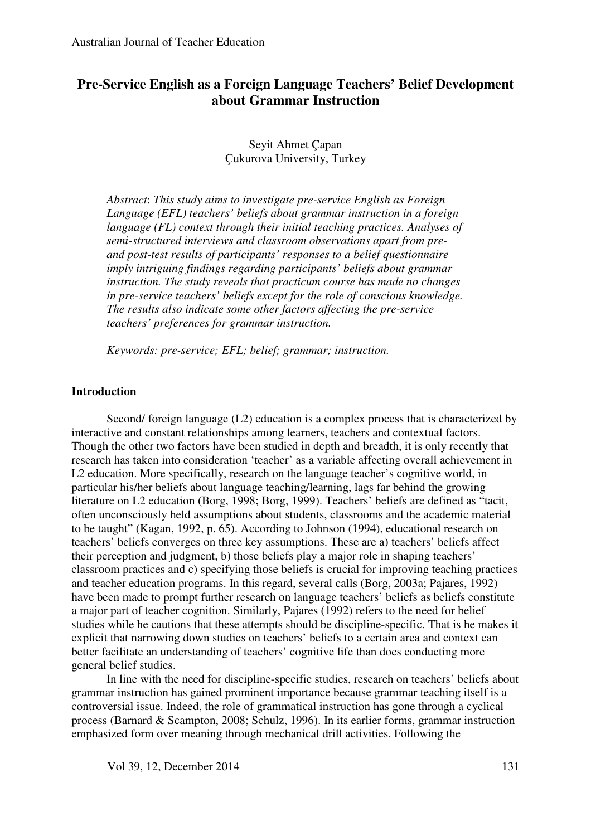## **Pre-Service English as a Foreign Language Teachers' Belief Development about Grammar Instruction**

## Seyit Ahmet Çapan Çukurova University, Turkey

*Abstract*: *This study aims to investigate pre-service English as Foreign Language (EFL) teachers' beliefs about grammar instruction in a foreign language (FL) context through their initial teaching practices. Analyses of semi-structured interviews and classroom observations apart from preand post-test results of participants' responses to a belief questionnaire imply intriguing findings regarding participants' beliefs about grammar instruction. The study reveals that practicum course has made no changes in pre-service teachers' beliefs except for the role of conscious knowledge. The results also indicate some other factors affecting the pre-service teachers' preferences for grammar instruction.*

*Keywords: pre-service; EFL; belief; grammar; instruction.* 

#### **Introduction**

Second/ foreign language (L2) education is a complex process that is characterized by interactive and constant relationships among learners, teachers and contextual factors. Though the other two factors have been studied in depth and breadth, it is only recently that research has taken into consideration 'teacher' as a variable affecting overall achievement in L2 education. More specifically, research on the language teacher's cognitive world, in particular his/her beliefs about language teaching/learning, lags far behind the growing literature on L2 education (Borg, 1998; Borg, 1999). Teachers' beliefs are defined as "tacit, often unconsciously held assumptions about students, classrooms and the academic material to be taught" (Kagan, 1992, p. 65). According to Johnson (1994), educational research on teachers' beliefs converges on three key assumptions. These are a) teachers' beliefs affect their perception and judgment, b) those beliefs play a major role in shaping teachers' classroom practices and c) specifying those beliefs is crucial for improving teaching practices and teacher education programs. In this regard, several calls (Borg, 2003a; Pajares, 1992) have been made to prompt further research on language teachers' beliefs as beliefs constitute a major part of teacher cognition. Similarly, Pajares (1992) refers to the need for belief studies while he cautions that these attempts should be discipline-specific. That is he makes it explicit that narrowing down studies on teachers' beliefs to a certain area and context can better facilitate an understanding of teachers' cognitive life than does conducting more general belief studies.

In line with the need for discipline-specific studies, research on teachers' beliefs about grammar instruction has gained prominent importance because grammar teaching itself is a controversial issue. Indeed, the role of grammatical instruction has gone through a cyclical process (Barnard & Scampton, 2008; Schulz, 1996). In its earlier forms, grammar instruction emphasized form over meaning through mechanical drill activities. Following the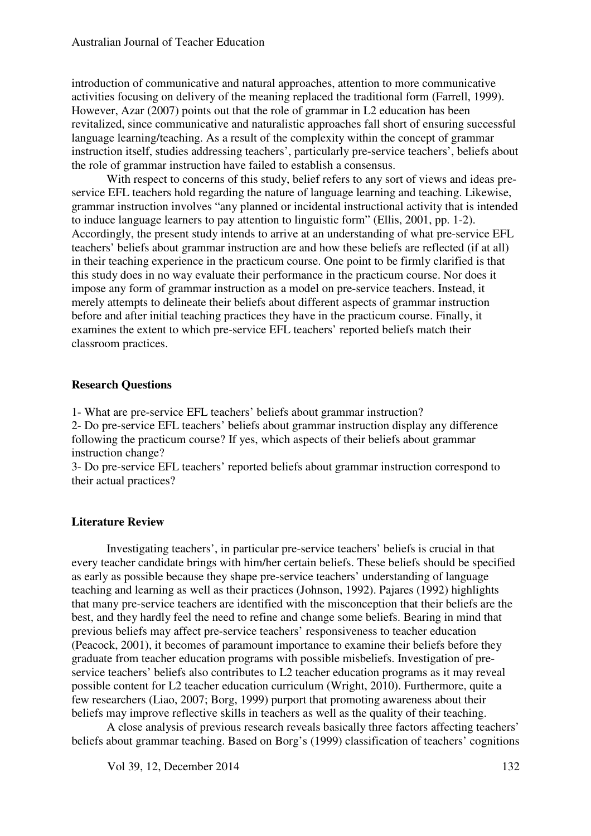introduction of communicative and natural approaches, attention to more communicative activities focusing on delivery of the meaning replaced the traditional form (Farrell, 1999). However, Azar (2007) points out that the role of grammar in L2 education has been revitalized, since communicative and naturalistic approaches fall short of ensuring successful language learning/teaching. As a result of the complexity within the concept of grammar instruction itself, studies addressing teachers', particularly pre-service teachers', beliefs about the role of grammar instruction have failed to establish a consensus.

With respect to concerns of this study, belief refers to any sort of views and ideas preservice EFL teachers hold regarding the nature of language learning and teaching. Likewise, grammar instruction involves "any planned or incidental instructional activity that is intended to induce language learners to pay attention to linguistic form" (Ellis, 2001, pp. 1-2). Accordingly, the present study intends to arrive at an understanding of what pre-service EFL teachers' beliefs about grammar instruction are and how these beliefs are reflected (if at all) in their teaching experience in the practicum course. One point to be firmly clarified is that this study does in no way evaluate their performance in the practicum course. Nor does it impose any form of grammar instruction as a model on pre-service teachers. Instead, it merely attempts to delineate their beliefs about different aspects of grammar instruction before and after initial teaching practices they have in the practicum course. Finally, it examines the extent to which pre-service EFL teachers' reported beliefs match their classroom practices.

### **Research Questions**

1- What are pre-service EFL teachers' beliefs about grammar instruction?

2- Do pre-service EFL teachers' beliefs about grammar instruction display any difference following the practicum course? If yes, which aspects of their beliefs about grammar instruction change?

3- Do pre-service EFL teachers' reported beliefs about grammar instruction correspond to their actual practices?

## **Literature Review**

Investigating teachers', in particular pre-service teachers' beliefs is crucial in that every teacher candidate brings with him/her certain beliefs. These beliefs should be specified as early as possible because they shape pre-service teachers' understanding of language teaching and learning as well as their practices (Johnson, 1992). Pajares (1992) highlights that many pre-service teachers are identified with the misconception that their beliefs are the best, and they hardly feel the need to refine and change some beliefs. Bearing in mind that previous beliefs may affect pre-service teachers' responsiveness to teacher education (Peacock, 2001), it becomes of paramount importance to examine their beliefs before they graduate from teacher education programs with possible misbeliefs. Investigation of preservice teachers' beliefs also contributes to L2 teacher education programs as it may reveal possible content for L2 teacher education curriculum (Wright, 2010). Furthermore, quite a few researchers (Liao, 2007; Borg, 1999) purport that promoting awareness about their beliefs may improve reflective skills in teachers as well as the quality of their teaching.

A close analysis of previous research reveals basically three factors affecting teachers' beliefs about grammar teaching. Based on Borg's (1999) classification of teachers' cognitions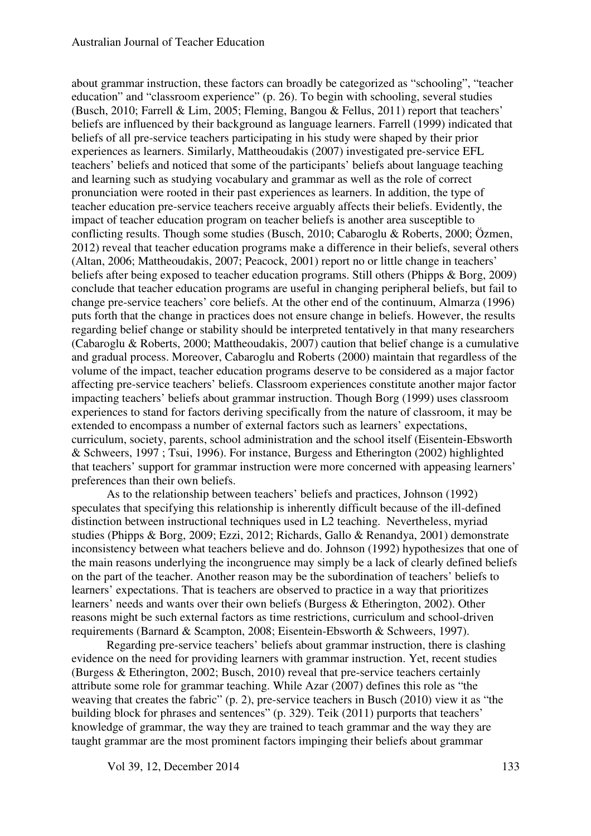about grammar instruction, these factors can broadly be categorized as "schooling", "teacher education" and "classroom experience" (p. 26). To begin with schooling, several studies (Busch, 2010; Farrell & Lim, 2005; Fleming, Bangou & Fellus, 2011) report that teachers' beliefs are influenced by their background as language learners. Farrell (1999) indicated that beliefs of all pre-service teachers participating in his study were shaped by their prior experiences as learners. Similarly, Mattheoudakis (2007) investigated pre-service EFL teachers' beliefs and noticed that some of the participants' beliefs about language teaching and learning such as studying vocabulary and grammar as well as the role of correct pronunciation were rooted in their past experiences as learners. In addition, the type of teacher education pre-service teachers receive arguably affects their beliefs. Evidently, the impact of teacher education program on teacher beliefs is another area susceptible to conflicting results. Though some studies (Busch, 2010; Cabaroglu & Roberts, 2000; Özmen, 2012) reveal that teacher education programs make a difference in their beliefs, several others (Altan, 2006; Mattheoudakis, 2007; Peacock, 2001) report no or little change in teachers' beliefs after being exposed to teacher education programs. Still others (Phipps & Borg, 2009) conclude that teacher education programs are useful in changing peripheral beliefs, but fail to change pre-service teachers' core beliefs. At the other end of the continuum, Almarza (1996) puts forth that the change in practices does not ensure change in beliefs. However, the results regarding belief change or stability should be interpreted tentatively in that many researchers (Cabaroglu & Roberts, 2000; Mattheoudakis, 2007) caution that belief change is a cumulative and gradual process. Moreover, Cabaroglu and Roberts (2000) maintain that regardless of the volume of the impact, teacher education programs deserve to be considered as a major factor affecting pre-service teachers' beliefs. Classroom experiences constitute another major factor impacting teachers' beliefs about grammar instruction. Though Borg (1999) uses classroom experiences to stand for factors deriving specifically from the nature of classroom, it may be extended to encompass a number of external factors such as learners' expectations, curriculum, society, parents, school administration and the school itself (Eisentein-Ebsworth & Schweers, 1997 ; Tsui, 1996). For instance, Burgess and Etherington (2002) highlighted that teachers' support for grammar instruction were more concerned with appeasing learners' preferences than their own beliefs.

As to the relationship between teachers' beliefs and practices, Johnson (1992) speculates that specifying this relationship is inherently difficult because of the ill-defined distinction between instructional techniques used in L2 teaching. Nevertheless, myriad studies (Phipps & Borg, 2009; Ezzi, 2012; Richards, Gallo & Renandya, 2001) demonstrate inconsistency between what teachers believe and do. Johnson (1992) hypothesizes that one of the main reasons underlying the incongruence may simply be a lack of clearly defined beliefs on the part of the teacher. Another reason may be the subordination of teachers' beliefs to learners' expectations. That is teachers are observed to practice in a way that prioritizes learners' needs and wants over their own beliefs (Burgess & Etherington, 2002). Other reasons might be such external factors as time restrictions, curriculum and school-driven requirements (Barnard & Scampton, 2008; Eisentein-Ebsworth & Schweers, 1997).

Regarding pre-service teachers' beliefs about grammar instruction, there is clashing evidence on the need for providing learners with grammar instruction. Yet, recent studies (Burgess & Etherington, 2002; Busch, 2010) reveal that pre-service teachers certainly attribute some role for grammar teaching. While Azar (2007) defines this role as "the weaving that creates the fabric" (p. 2), pre-service teachers in Busch (2010) view it as "the building block for phrases and sentences" (p. 329). Teik (2011) purports that teachers' knowledge of grammar, the way they are trained to teach grammar and the way they are taught grammar are the most prominent factors impinging their beliefs about grammar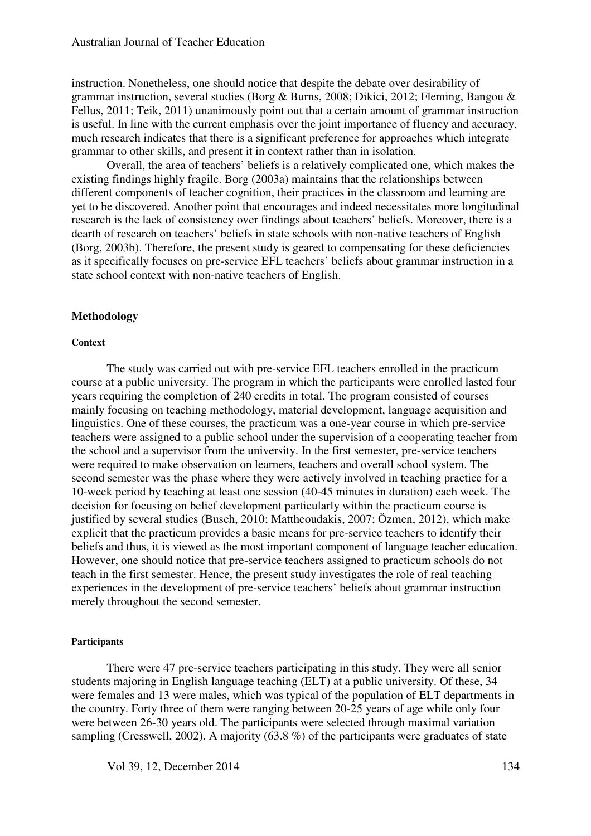instruction. Nonetheless, one should notice that despite the debate over desirability of grammar instruction, several studies (Borg & Burns, 2008; Dikici, 2012; Fleming, Bangou & Fellus, 2011; Teik, 2011) unanimously point out that a certain amount of grammar instruction is useful. In line with the current emphasis over the joint importance of fluency and accuracy, much research indicates that there is a significant preference for approaches which integrate grammar to other skills, and present it in context rather than in isolation.

Overall, the area of teachers' beliefs is a relatively complicated one, which makes the existing findings highly fragile. Borg (2003a) maintains that the relationships between different components of teacher cognition, their practices in the classroom and learning are yet to be discovered. Another point that encourages and indeed necessitates more longitudinal research is the lack of consistency over findings about teachers' beliefs. Moreover, there is a dearth of research on teachers' beliefs in state schools with non-native teachers of English (Borg, 2003b). Therefore, the present study is geared to compensating for these deficiencies as it specifically focuses on pre-service EFL teachers' beliefs about grammar instruction in a state school context with non-native teachers of English.

#### **Methodology**

#### **Context**

The study was carried out with pre-service EFL teachers enrolled in the practicum course at a public university. The program in which the participants were enrolled lasted four years requiring the completion of 240 credits in total. The program consisted of courses mainly focusing on teaching methodology, material development, language acquisition and linguistics. One of these courses, the practicum was a one-year course in which pre-service teachers were assigned to a public school under the supervision of a cooperating teacher from the school and a supervisor from the university. In the first semester, pre-service teachers were required to make observation on learners, teachers and overall school system. The second semester was the phase where they were actively involved in teaching practice for a 10-week period by teaching at least one session (40-45 minutes in duration) each week. The decision for focusing on belief development particularly within the practicum course is justified by several studies (Busch, 2010; Mattheoudakis, 2007; Özmen, 2012), which make explicit that the practicum provides a basic means for pre-service teachers to identify their beliefs and thus, it is viewed as the most important component of language teacher education. However, one should notice that pre-service teachers assigned to practicum schools do not teach in the first semester. Hence, the present study investigates the role of real teaching experiences in the development of pre-service teachers' beliefs about grammar instruction merely throughout the second semester.

#### **Participants**

There were 47 pre-service teachers participating in this study. They were all senior students majoring in English language teaching (ELT) at a public university. Of these, 34 were females and 13 were males, which was typical of the population of ELT departments in the country. Forty three of them were ranging between 20-25 years of age while only four were between 26-30 years old. The participants were selected through maximal variation sampling (Cresswell, 2002). A majority (63.8 %) of the participants were graduates of state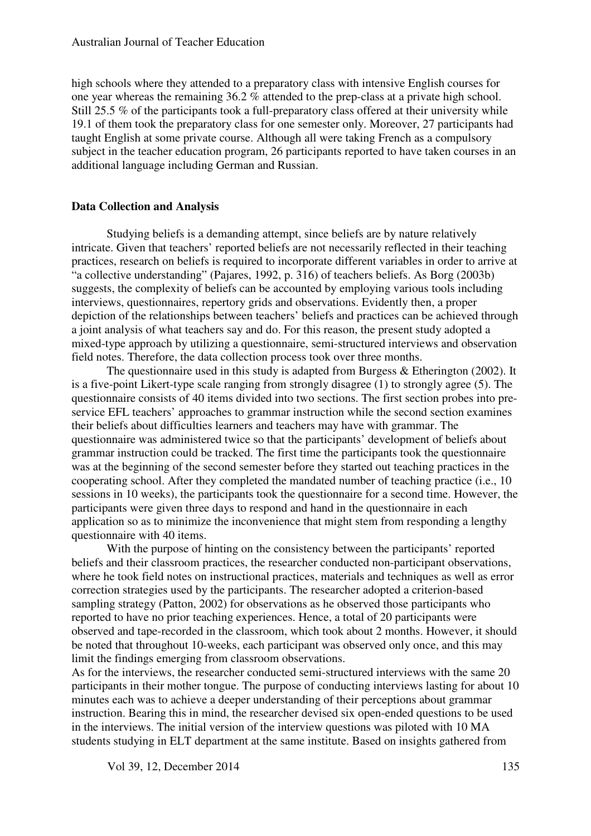high schools where they attended to a preparatory class with intensive English courses for one year whereas the remaining 36.2 % attended to the prep-class at a private high school. Still 25.5 % of the participants took a full-preparatory class offered at their university while 19.1 of them took the preparatory class for one semester only. Moreover, 27 participants had taught English at some private course. Although all were taking French as a compulsory subject in the teacher education program, 26 participants reported to have taken courses in an additional language including German and Russian.

#### **Data Collection and Analysis**

Studying beliefs is a demanding attempt, since beliefs are by nature relatively intricate. Given that teachers' reported beliefs are not necessarily reflected in their teaching practices, research on beliefs is required to incorporate different variables in order to arrive at "a collective understanding" (Pajares, 1992, p. 316) of teachers beliefs. As Borg (2003b) suggests, the complexity of beliefs can be accounted by employing various tools including interviews, questionnaires, repertory grids and observations. Evidently then, a proper depiction of the relationships between teachers' beliefs and practices can be achieved through a joint analysis of what teachers say and do. For this reason, the present study adopted a mixed-type approach by utilizing a questionnaire, semi-structured interviews and observation field notes. Therefore, the data collection process took over three months.

The questionnaire used in this study is adapted from Burgess & Etherington (2002). It is a five-point Likert-type scale ranging from strongly disagree (1) to strongly agree (5). The questionnaire consists of 40 items divided into two sections. The first section probes into preservice EFL teachers' approaches to grammar instruction while the second section examines their beliefs about difficulties learners and teachers may have with grammar. The questionnaire was administered twice so that the participants' development of beliefs about grammar instruction could be tracked. The first time the participants took the questionnaire was at the beginning of the second semester before they started out teaching practices in the cooperating school. After they completed the mandated number of teaching practice (i.e., 10 sessions in 10 weeks), the participants took the questionnaire for a second time. However, the participants were given three days to respond and hand in the questionnaire in each application so as to minimize the inconvenience that might stem from responding a lengthy questionnaire with 40 items.

With the purpose of hinting on the consistency between the participants' reported beliefs and their classroom practices, the researcher conducted non-participant observations, where he took field notes on instructional practices, materials and techniques as well as error correction strategies used by the participants. The researcher adopted a criterion-based sampling strategy (Patton, 2002) for observations as he observed those participants who reported to have no prior teaching experiences. Hence, a total of 20 participants were observed and tape-recorded in the classroom, which took about 2 months. However, it should be noted that throughout 10-weeks, each participant was observed only once, and this may limit the findings emerging from classroom observations.

As for the interviews, the researcher conducted semi-structured interviews with the same 20 participants in their mother tongue. The purpose of conducting interviews lasting for about 10 minutes each was to achieve a deeper understanding of their perceptions about grammar instruction. Bearing this in mind, the researcher devised six open-ended questions to be used in the interviews. The initial version of the interview questions was piloted with 10 MA students studying in ELT department at the same institute. Based on insights gathered from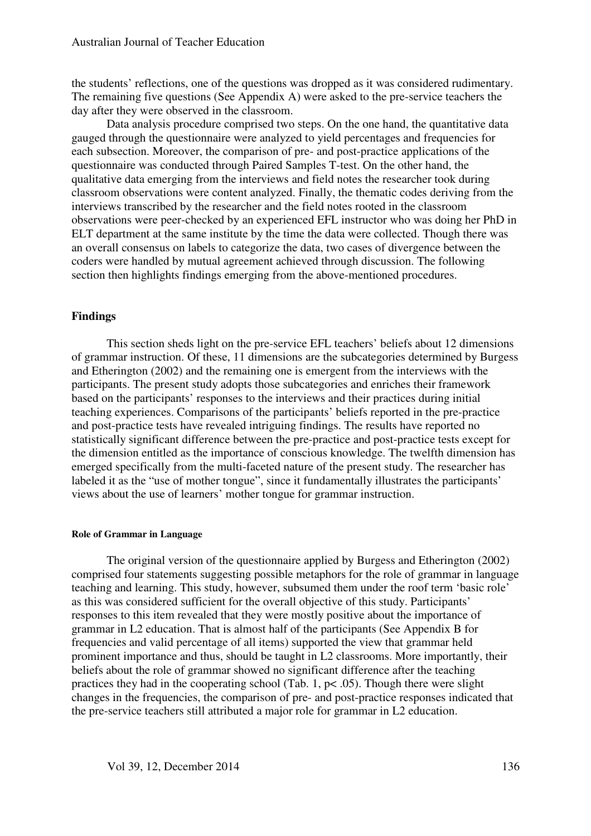the students' reflections, one of the questions was dropped as it was considered rudimentary. The remaining five questions (See Appendix A) were asked to the pre-service teachers the day after they were observed in the classroom.

Data analysis procedure comprised two steps. On the one hand, the quantitative data gauged through the questionnaire were analyzed to yield percentages and frequencies for each subsection. Moreover, the comparison of pre- and post-practice applications of the questionnaire was conducted through Paired Samples T-test. On the other hand, the qualitative data emerging from the interviews and field notes the researcher took during classroom observations were content analyzed. Finally, the thematic codes deriving from the interviews transcribed by the researcher and the field notes rooted in the classroom observations were peer-checked by an experienced EFL instructor who was doing her PhD in ELT department at the same institute by the time the data were collected. Though there was an overall consensus on labels to categorize the data, two cases of divergence between the coders were handled by mutual agreement achieved through discussion. The following section then highlights findings emerging from the above-mentioned procedures.

#### **Findings**

This section sheds light on the pre-service EFL teachers' beliefs about 12 dimensions of grammar instruction. Of these, 11 dimensions are the subcategories determined by Burgess and Etherington (2002) and the remaining one is emergent from the interviews with the participants. The present study adopts those subcategories and enriches their framework based on the participants' responses to the interviews and their practices during initial teaching experiences. Comparisons of the participants' beliefs reported in the pre-practice and post-practice tests have revealed intriguing findings. The results have reported no statistically significant difference between the pre-practice and post-practice tests except for the dimension entitled as the importance of conscious knowledge. The twelfth dimension has emerged specifically from the multi-faceted nature of the present study. The researcher has labeled it as the "use of mother tongue", since it fundamentally illustrates the participants' views about the use of learners' mother tongue for grammar instruction.

#### **Role of Grammar in Language**

The original version of the questionnaire applied by Burgess and Etherington (2002) comprised four statements suggesting possible metaphors for the role of grammar in language teaching and learning. This study, however, subsumed them under the roof term 'basic role' as this was considered sufficient for the overall objective of this study. Participants' responses to this item revealed that they were mostly positive about the importance of grammar in L2 education. That is almost half of the participants (See Appendix B for frequencies and valid percentage of all items) supported the view that grammar held prominent importance and thus, should be taught in L2 classrooms. More importantly, their beliefs about the role of grammar showed no significant difference after the teaching practices they had in the cooperating school (Tab. 1, p< .05). Though there were slight changes in the frequencies, the comparison of pre- and post-practice responses indicated that the pre-service teachers still attributed a major role for grammar in L2 education.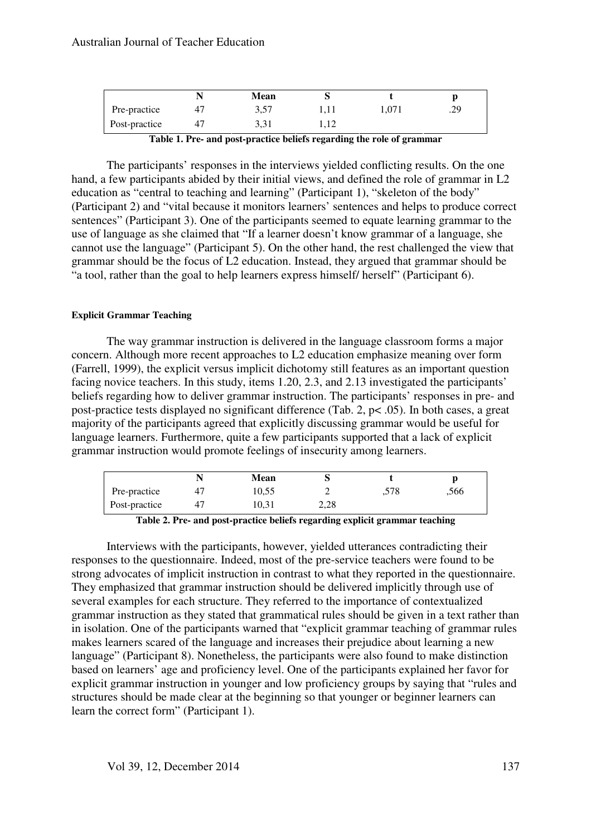|               | Mean |      |       |     |
|---------------|------|------|-------|-----|
| Pre-practice  | 3,57 | 1,11 | 1,071 | .29 |
| Post-practice | 3,31 | 1,14 |       |     |

**Table 1. Pre- and post-practice beliefs regarding the role of grammar** 

The participants' responses in the interviews yielded conflicting results. On the one hand, a few participants abided by their initial views, and defined the role of grammar in L2 education as "central to teaching and learning" (Participant 1), "skeleton of the body" (Participant 2) and "vital because it monitors learners' sentences and helps to produce correct sentences" (Participant 3). One of the participants seemed to equate learning grammar to the use of language as she claimed that "If a learner doesn't know grammar of a language, she cannot use the language" (Participant 5). On the other hand, the rest challenged the view that grammar should be the focus of L2 education. Instead, they argued that grammar should be "a tool, rather than the goal to help learners express himself/ herself" (Participant 6).

#### **Explicit Grammar Teaching**

The way grammar instruction is delivered in the language classroom forms a major concern. Although more recent approaches to L2 education emphasize meaning over form (Farrell, 1999), the explicit versus implicit dichotomy still features as an important question facing novice teachers. In this study, items 1.20, 2.3, and 2.13 investigated the participants' beliefs regarding how to deliver grammar instruction. The participants' responses in pre- and post-practice tests displayed no significant difference (Tab. 2, p< .05). In both cases, a great majority of the participants agreed that explicitly discussing grammar would be useful for language learners. Furthermore, quite a few participants supported that a lack of explicit grammar instruction would promote feelings of insecurity among learners.

|               | Mean  |      |      |      |
|---------------|-------|------|------|------|
| Pre-practice  | 10,55 |      | .578 | .566 |
| Post-practice | 10.31 | 2,28 |      |      |

**Table 2. Pre- and post-practice beliefs regarding explicit grammar teaching** 

Interviews with the participants, however, yielded utterances contradicting their responses to the questionnaire. Indeed, most of the pre-service teachers were found to be strong advocates of implicit instruction in contrast to what they reported in the questionnaire. They emphasized that grammar instruction should be delivered implicitly through use of several examples for each structure. They referred to the importance of contextualized grammar instruction as they stated that grammatical rules should be given in a text rather than in isolation. One of the participants warned that "explicit grammar teaching of grammar rules makes learners scared of the language and increases their prejudice about learning a new language" (Participant 8). Nonetheless, the participants were also found to make distinction based on learners' age and proficiency level. One of the participants explained her favor for explicit grammar instruction in younger and low proficiency groups by saying that "rules and structures should be made clear at the beginning so that younger or beginner learners can learn the correct form" (Participant 1).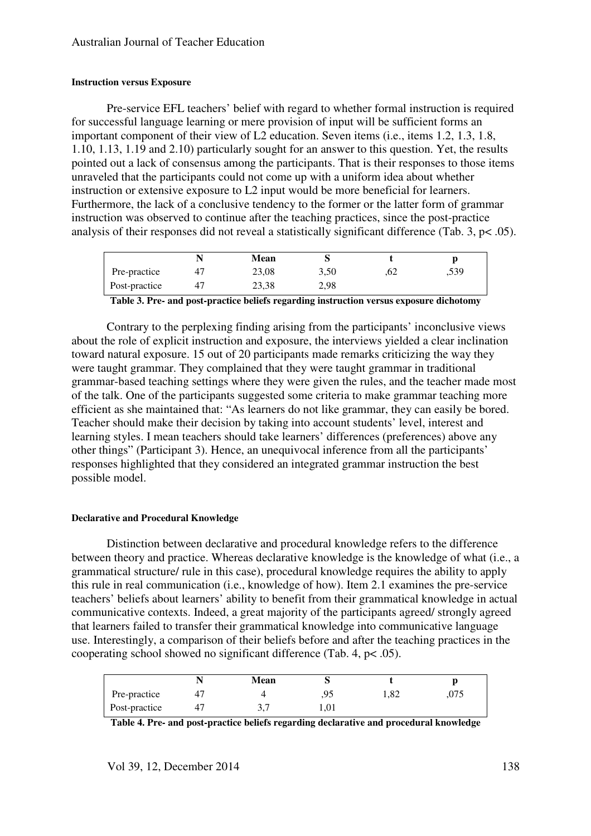#### **Instruction versus Exposure**

Pre-service EFL teachers' belief with regard to whether formal instruction is required for successful language learning or mere provision of input will be sufficient forms an important component of their view of L2 education. Seven items (i.e., items 1.2, 1.3, 1.8, 1.10, 1.13, 1.19 and 2.10) particularly sought for an answer to this question. Yet, the results pointed out a lack of consensus among the participants. That is their responses to those items unraveled that the participants could not come up with a uniform idea about whether instruction or extensive exposure to L2 input would be more beneficial for learners. Furthermore, the lack of a conclusive tendency to the former or the latter form of grammar instruction was observed to continue after the teaching practices, since the post-practice analysis of their responses did not reveal a statistically significant difference (Tab. 3, p< .05).

|               | Mean  |      |     |      |
|---------------|-------|------|-----|------|
| Pre-practice  | 23,08 | 3,50 | .62 | ,539 |
| Post-practice | 23,38 | 2,98 |     |      |

**Table 3. Pre- and post-practice beliefs regarding instruction versus exposure dichotomy** 

Contrary to the perplexing finding arising from the participants' inconclusive views about the role of explicit instruction and exposure, the interviews yielded a clear inclination toward natural exposure. 15 out of 20 participants made remarks criticizing the way they were taught grammar. They complained that they were taught grammar in traditional grammar-based teaching settings where they were given the rules, and the teacher made most of the talk. One of the participants suggested some criteria to make grammar teaching more efficient as she maintained that: "As learners do not like grammar, they can easily be bored. Teacher should make their decision by taking into account students' level, interest and learning styles. I mean teachers should take learners' differences (preferences) above any other things" (Participant 3). Hence, an unequivocal inference from all the participants' responses highlighted that they considered an integrated grammar instruction the best possible model.

#### **Declarative and Procedural Knowledge**

Distinction between declarative and procedural knowledge refers to the difference between theory and practice. Whereas declarative knowledge is the knowledge of what (i.e., a grammatical structure/ rule in this case), procedural knowledge requires the ability to apply this rule in real communication (i.e., knowledge of how). Item 2.1 examines the pre-service teachers' beliefs about learners' ability to benefit from their grammatical knowledge in actual communicative contexts. Indeed, a great majority of the participants agreed/ strongly agreed that learners failed to transfer their grammatical knowledge into communicative language use. Interestingly, a comparison of their beliefs before and after the teaching practices in the cooperating school showed no significant difference (Tab. 4, p< .05).

|               | Mean |      |      |      |
|---------------|------|------|------|------|
| Pre-practice  |      | .95  | 1,82 | .075 |
| Post-practice | ۰.   | 1,01 |      |      |

**Table 4. Pre- and post-practice beliefs regarding declarative and procedural knowledge**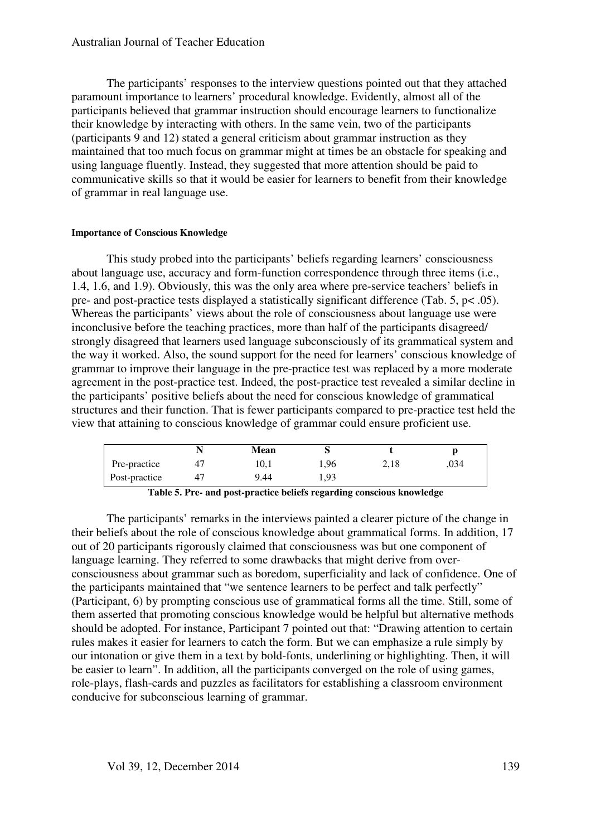#### Australian Journal of Teacher Education

The participants' responses to the interview questions pointed out that they attached paramount importance to learners' procedural knowledge. Evidently, almost all of the participants believed that grammar instruction should encourage learners to functionalize their knowledge by interacting with others. In the same vein, two of the participants (participants 9 and 12) stated a general criticism about grammar instruction as they maintained that too much focus on grammar might at times be an obstacle for speaking and using language fluently. Instead, they suggested that more attention should be paid to communicative skills so that it would be easier for learners to benefit from their knowledge of grammar in real language use.

#### **Importance of Conscious Knowledge**

This study probed into the participants' beliefs regarding learners' consciousness about language use, accuracy and form-function correspondence through three items (i.e., 1.4, 1.6, and 1.9). Obviously, this was the only area where pre-service teachers' beliefs in pre- and post-practice tests displayed a statistically significant difference (Tab. 5, p< .05). Whereas the participants' views about the role of consciousness about language use were inconclusive before the teaching practices, more than half of the participants disagreed/ strongly disagreed that learners used language subconsciously of its grammatical system and the way it worked. Also, the sound support for the need for learners' conscious knowledge of grammar to improve their language in the pre-practice test was replaced by a more moderate agreement in the post-practice test. Indeed, the post-practice test revealed a similar decline in the participants' positive beliefs about the need for conscious knowledge of grammatical structures and their function. That is fewer participants compared to pre-practice test held the view that attaining to conscious knowledge of grammar could ensure proficient use.

|               | Mean |      |      |      |
|---------------|------|------|------|------|
| Pre-practice  | 10,1 | 1,96 | 2,18 | .034 |
| Post-practice | 9.44 | 1,93 |      |      |

**Table 5. Pre- and post-practice beliefs regarding conscious knowledge** 

The participants' remarks in the interviews painted a clearer picture of the change in their beliefs about the role of conscious knowledge about grammatical forms. In addition, 17 out of 20 participants rigorously claimed that consciousness was but one component of language learning. They referred to some drawbacks that might derive from overconsciousness about grammar such as boredom, superficiality and lack of confidence. One of the participants maintained that "we sentence learners to be perfect and talk perfectly" (Participant, 6) by prompting conscious use of grammatical forms all the time. Still, some of them asserted that promoting conscious knowledge would be helpful but alternative methods should be adopted. For instance, Participant 7 pointed out that: "Drawing attention to certain rules makes it easier for learners to catch the form. But we can emphasize a rule simply by our intonation or give them in a text by bold-fonts, underlining or highlighting. Then, it will be easier to learn". In addition, all the participants converged on the role of using games, role-plays, flash-cards and puzzles as facilitators for establishing a classroom environment conducive for subconscious learning of grammar.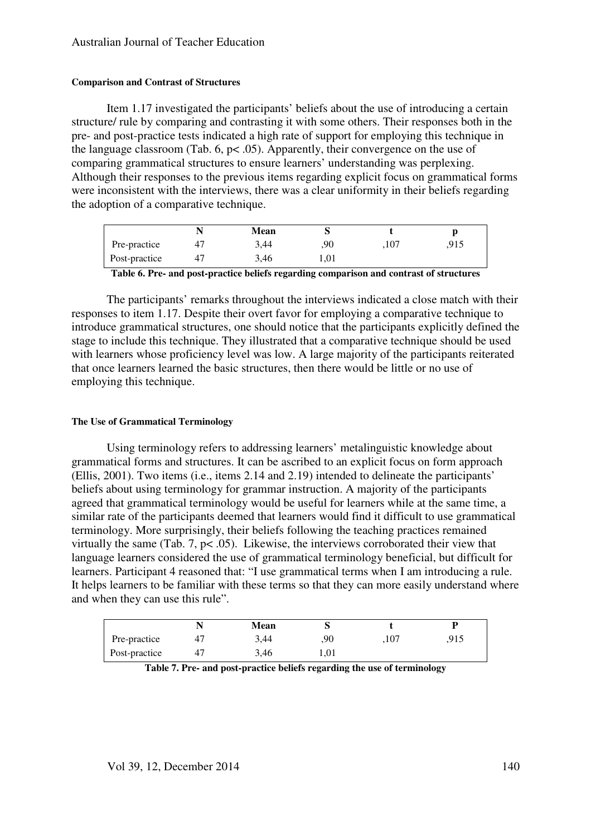#### **Comparison and Contrast of Structures**

Item 1.17 investigated the participants' beliefs about the use of introducing a certain structure/ rule by comparing and contrasting it with some others. Their responses both in the pre- and post-practice tests indicated a high rate of support for employing this technique in the language classroom (Tab.  $6, p< .05$ ). Apparently, their convergence on the use of comparing grammatical structures to ensure learners' understanding was perplexing. Although their responses to the previous items regarding explicit focus on grammatical forms were inconsistent with the interviews, there was a clear uniformity in their beliefs regarding the adoption of a comparative technique.

|               | Mean |      |      |  |
|---------------|------|------|------|--|
| Pre-practice  | 3,44 | .90  | .107 |  |
| Post-practice | 3,46 | 1,01 |      |  |

**Table 6. Pre- and post-practice beliefs regarding comparison and contrast of structures** 

The participants' remarks throughout the interviews indicated a close match with their responses to item 1.17. Despite their overt favor for employing a comparative technique to introduce grammatical structures, one should notice that the participants explicitly defined the stage to include this technique. They illustrated that a comparative technique should be used with learners whose proficiency level was low. A large majority of the participants reiterated that once learners learned the basic structures, then there would be little or no use of employing this technique.

#### **The Use of Grammatical Terminology**

Using terminology refers to addressing learners' metalinguistic knowledge about grammatical forms and structures. It can be ascribed to an explicit focus on form approach (Ellis, 2001). Two items (i.e., items 2.14 and 2.19) intended to delineate the participants' beliefs about using terminology for grammar instruction. A majority of the participants agreed that grammatical terminology would be useful for learners while at the same time, a similar rate of the participants deemed that learners would find it difficult to use grammatical terminology. More surprisingly, their beliefs following the teaching practices remained virtually the same (Tab. 7, p< .05). Likewise, the interviews corroborated their view that language learners considered the use of grammatical terminology beneficial, but difficult for learners. Participant 4 reasoned that: "I use grammatical terms when I am introducing a rule. It helps learners to be familiar with these terms so that they can more easily understand where and when they can use this rule".

|               | N  | Mean |                        |      | D    |
|---------------|----|------|------------------------|------|------|
| Pre-practice  | 4. | 3,44 | .90                    | ,107 | .915 |
| Post-practice | 41 | 3,46 | $\mathord{\text{.}}01$ |      |      |

**Table 7. Pre- and post-practice beliefs regarding the use of terminology**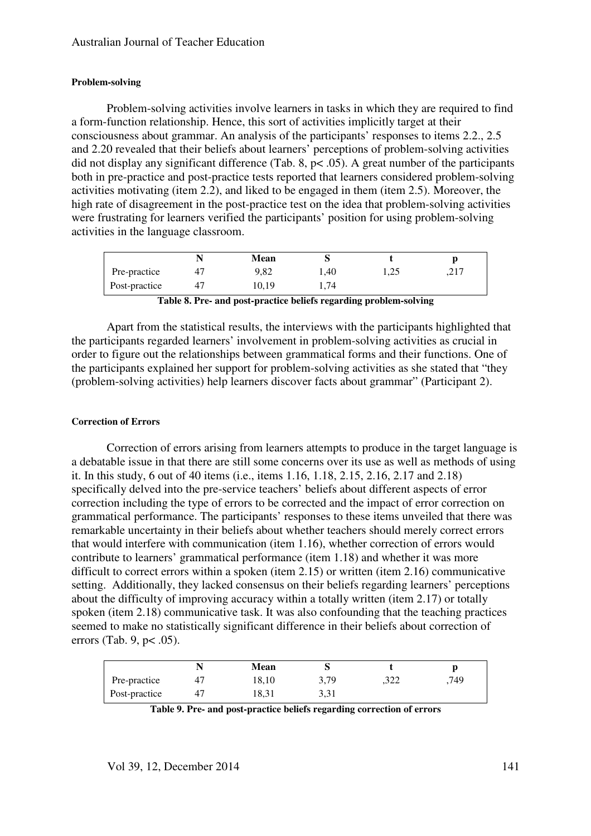#### **Problem-solving**

Problem-solving activities involve learners in tasks in which they are required to find a form-function relationship. Hence, this sort of activities implicitly target at their consciousness about grammar. An analysis of the participants' responses to items 2.2., 2.5 and 2.20 revealed that their beliefs about learners' perceptions of problem-solving activities did not display any significant difference (Tab. 8,  $p < .05$ ). A great number of the participants both in pre-practice and post-practice tests reported that learners considered problem-solving activities motivating (item 2.2), and liked to be engaged in them (item 2.5). Moreover, the high rate of disagreement in the post-practice test on the idea that problem-solving activities were frustrating for learners verified the participants' position for using problem-solving activities in the language classroom.

|               | Mean  |                 |      |                       |
|---------------|-------|-----------------|------|-----------------------|
| Pre-practice  | 9,82  | <sup>1,40</sup> | 1,25 | າ 1 ⊓<br>$, \angle 1$ |
| Post-practice | 10,19 | . . 74          |      |                       |

**Table 8. Pre- and post-practice beliefs regarding problem-solving** 

Apart from the statistical results, the interviews with the participants highlighted that the participants regarded learners' involvement in problem-solving activities as crucial in order to figure out the relationships between grammatical forms and their functions. One of the participants explained her support for problem-solving activities as she stated that "they (problem-solving activities) help learners discover facts about grammar" (Participant 2).

#### **Correction of Errors**

Correction of errors arising from learners attempts to produce in the target language is a debatable issue in that there are still some concerns over its use as well as methods of using it. In this study, 6 out of 40 items (i.e., items 1.16, 1.18, 2.15, 2.16, 2.17 and 2.18) specifically delved into the pre-service teachers' beliefs about different aspects of error correction including the type of errors to be corrected and the impact of error correction on grammatical performance. The participants' responses to these items unveiled that there was remarkable uncertainty in their beliefs about whether teachers should merely correct errors that would interfere with communication (item 1.16), whether correction of errors would contribute to learners' grammatical performance (item 1.18) and whether it was more difficult to correct errors within a spoken (item 2.15) or written (item 2.16) communicative setting. Additionally, they lacked consensus on their beliefs regarding learners' perceptions about the difficulty of improving accuracy within a totally written (item 2.17) or totally spoken (item 2.18) communicative task. It was also confounding that the teaching practices seemed to make no statistically significant difference in their beliefs about correction of errors (Tab. 9, p< .05).

|               |           | Mean  |      |      |     |
|---------------|-----------|-------|------|------|-----|
| Pre-practice  | $4^\circ$ | 18,10 | 3,79 | .322 | 749 |
| Post-practice | 47        | 18,31 | 3,31 |      |     |

**Table 9. Pre- and post-practice beliefs regarding correction of errors**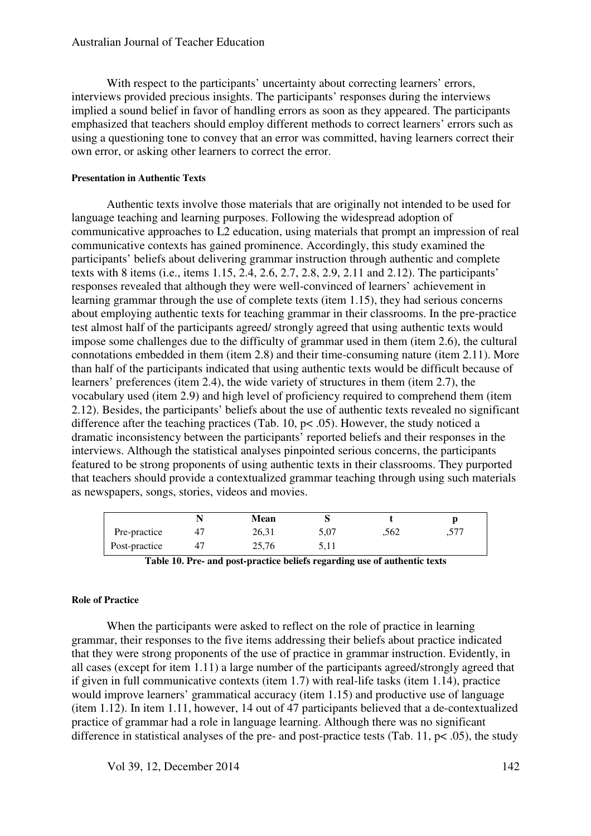With respect to the participants' uncertainty about correcting learners' errors, interviews provided precious insights. The participants' responses during the interviews implied a sound belief in favor of handling errors as soon as they appeared. The participants emphasized that teachers should employ different methods to correct learners' errors such as using a questioning tone to convey that an error was committed, having learners correct their own error, or asking other learners to correct the error.

#### **Presentation in Authentic Texts**

Authentic texts involve those materials that are originally not intended to be used for language teaching and learning purposes. Following the widespread adoption of communicative approaches to L2 education, using materials that prompt an impression of real communicative contexts has gained prominence. Accordingly, this study examined the participants' beliefs about delivering grammar instruction through authentic and complete texts with 8 items (i.e., items 1.15, 2.4, 2.6, 2.7, 2.8, 2.9, 2.11 and 2.12). The participants' responses revealed that although they were well-convinced of learners' achievement in learning grammar through the use of complete texts (item 1.15), they had serious concerns about employing authentic texts for teaching grammar in their classrooms. In the pre-practice test almost half of the participants agreed/ strongly agreed that using authentic texts would impose some challenges due to the difficulty of grammar used in them (item 2.6), the cultural connotations embedded in them (item 2.8) and their time-consuming nature (item 2.11). More than half of the participants indicated that using authentic texts would be difficult because of learners' preferences (item 2.4), the wide variety of structures in them (item 2.7), the vocabulary used (item 2.9) and high level of proficiency required to comprehend them (item 2.12). Besides, the participants' beliefs about the use of authentic texts revealed no significant difference after the teaching practices (Tab. 10, p< .05). However, the study noticed a dramatic inconsistency between the participants' reported beliefs and their responses in the interviews. Although the statistical analyses pinpointed serious concerns, the participants featured to be strong proponents of using authentic texts in their classrooms. They purported that teachers should provide a contextualized grammar teaching through using such materials as newspapers, songs, stories, videos and movies.

|               | Mean  |      |      |      |
|---------------|-------|------|------|------|
| Pre-practice  | 26,31 | 5,07 | .562 | .577 |
| Post-practice | 25,76 | 5,11 |      |      |

|  | Table 10. Pre- and post-practice beliefs regarding use of authentic texts |
|--|---------------------------------------------------------------------------|
|  |                                                                           |

#### **Role of Practice**

When the participants were asked to reflect on the role of practice in learning grammar, their responses to the five items addressing their beliefs about practice indicated that they were strong proponents of the use of practice in grammar instruction. Evidently, in all cases (except for item 1.11) a large number of the participants agreed/strongly agreed that if given in full communicative contexts (item 1.7) with real-life tasks (item 1.14), practice would improve learners' grammatical accuracy (item 1.15) and productive use of language (item 1.12). In item 1.11, however, 14 out of 47 participants believed that a de-contextualized practice of grammar had a role in language learning. Although there was no significant difference in statistical analyses of the pre- and post-practice tests (Tab. 11,  $p < .05$ ), the study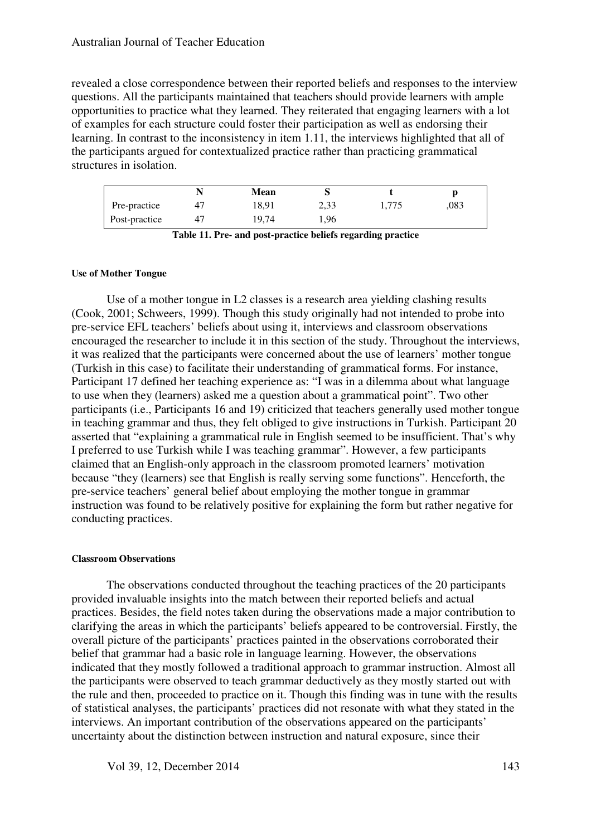revealed a close correspondence between their reported beliefs and responses to the interview questions. All the participants maintained that teachers should provide learners with ample opportunities to practice what they learned. They reiterated that engaging learners with a lot of examples for each structure could foster their participation as well as endorsing their learning. In contrast to the inconsistency in item 1.11, the interviews highlighted that all of the participants argued for contextualized practice rather than practicing grammatical structures in isolation.

|               |    | Mean  |      |       |      |
|---------------|----|-------|------|-------|------|
| Pre-practice  |    | 18,91 | 2,33 | 1,775 | .083 |
| Post-practice | 41 | 19,74 | . 96 |       |      |

**Table 11. Pre- and post-practice beliefs regarding practice** 

#### **Use of Mother Tongue**

Use of a mother tongue in L2 classes is a research area yielding clashing results (Cook, 2001; Schweers, 1999). Though this study originally had not intended to probe into pre-service EFL teachers' beliefs about using it, interviews and classroom observations encouraged the researcher to include it in this section of the study. Throughout the interviews, it was realized that the participants were concerned about the use of learners' mother tongue (Turkish in this case) to facilitate their understanding of grammatical forms. For instance, Participant 17 defined her teaching experience as: "I was in a dilemma about what language to use when they (learners) asked me a question about a grammatical point". Two other participants (i.e., Participants 16 and 19) criticized that teachers generally used mother tongue in teaching grammar and thus, they felt obliged to give instructions in Turkish. Participant 20 asserted that "explaining a grammatical rule in English seemed to be insufficient. That's why I preferred to use Turkish while I was teaching grammar". However, a few participants claimed that an English-only approach in the classroom promoted learners' motivation because "they (learners) see that English is really serving some functions". Henceforth, the pre-service teachers' general belief about employing the mother tongue in grammar instruction was found to be relatively positive for explaining the form but rather negative for conducting practices.

#### **Classroom Observations**

The observations conducted throughout the teaching practices of the 20 participants provided invaluable insights into the match between their reported beliefs and actual practices. Besides, the field notes taken during the observations made a major contribution to clarifying the areas in which the participants' beliefs appeared to be controversial. Firstly, the overall picture of the participants' practices painted in the observations corroborated their belief that grammar had a basic role in language learning. However, the observations indicated that they mostly followed a traditional approach to grammar instruction. Almost all the participants were observed to teach grammar deductively as they mostly started out with the rule and then, proceeded to practice on it. Though this finding was in tune with the results of statistical analyses, the participants' practices did not resonate with what they stated in the interviews. An important contribution of the observations appeared on the participants' uncertainty about the distinction between instruction and natural exposure, since their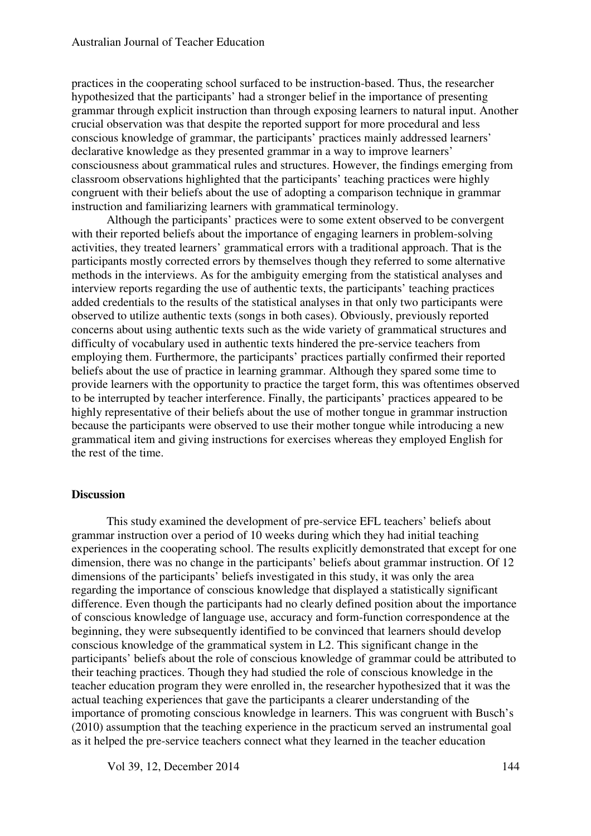practices in the cooperating school surfaced to be instruction-based. Thus, the researcher hypothesized that the participants' had a stronger belief in the importance of presenting grammar through explicit instruction than through exposing learners to natural input. Another crucial observation was that despite the reported support for more procedural and less conscious knowledge of grammar, the participants' practices mainly addressed learners' declarative knowledge as they presented grammar in a way to improve learners' consciousness about grammatical rules and structures. However, the findings emerging from classroom observations highlighted that the participants' teaching practices were highly congruent with their beliefs about the use of adopting a comparison technique in grammar instruction and familiarizing learners with grammatical terminology.

Although the participants' practices were to some extent observed to be convergent with their reported beliefs about the importance of engaging learners in problem-solving activities, they treated learners' grammatical errors with a traditional approach. That is the participants mostly corrected errors by themselves though they referred to some alternative methods in the interviews. As for the ambiguity emerging from the statistical analyses and interview reports regarding the use of authentic texts, the participants' teaching practices added credentials to the results of the statistical analyses in that only two participants were observed to utilize authentic texts (songs in both cases). Obviously, previously reported concerns about using authentic texts such as the wide variety of grammatical structures and difficulty of vocabulary used in authentic texts hindered the pre-service teachers from employing them. Furthermore, the participants' practices partially confirmed their reported beliefs about the use of practice in learning grammar. Although they spared some time to provide learners with the opportunity to practice the target form, this was oftentimes observed to be interrupted by teacher interference. Finally, the participants' practices appeared to be highly representative of their beliefs about the use of mother tongue in grammar instruction because the participants were observed to use their mother tongue while introducing a new grammatical item and giving instructions for exercises whereas they employed English for the rest of the time.

#### **Discussion**

This study examined the development of pre-service EFL teachers' beliefs about grammar instruction over a period of 10 weeks during which they had initial teaching experiences in the cooperating school. The results explicitly demonstrated that except for one dimension, there was no change in the participants' beliefs about grammar instruction. Of 12 dimensions of the participants' beliefs investigated in this study, it was only the area regarding the importance of conscious knowledge that displayed a statistically significant difference. Even though the participants had no clearly defined position about the importance of conscious knowledge of language use, accuracy and form-function correspondence at the beginning, they were subsequently identified to be convinced that learners should develop conscious knowledge of the grammatical system in L2. This significant change in the participants' beliefs about the role of conscious knowledge of grammar could be attributed to their teaching practices. Though they had studied the role of conscious knowledge in the teacher education program they were enrolled in, the researcher hypothesized that it was the actual teaching experiences that gave the participants a clearer understanding of the importance of promoting conscious knowledge in learners. This was congruent with Busch's (2010) assumption that the teaching experience in the practicum served an instrumental goal as it helped the pre-service teachers connect what they learned in the teacher education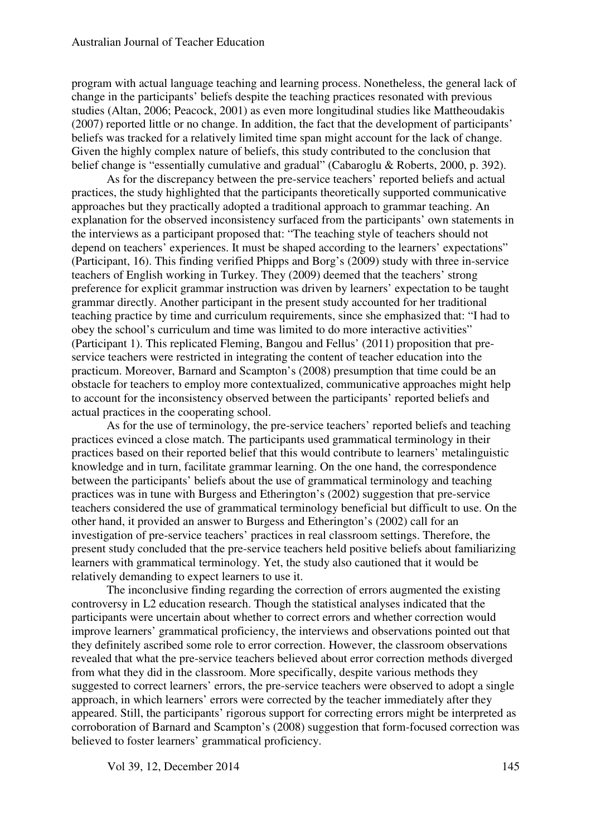program with actual language teaching and learning process. Nonetheless, the general lack of change in the participants' beliefs despite the teaching practices resonated with previous studies (Altan, 2006; Peacock, 2001) as even more longitudinal studies like Mattheoudakis (2007) reported little or no change. In addition, the fact that the development of participants' beliefs was tracked for a relatively limited time span might account for the lack of change. Given the highly complex nature of beliefs, this study contributed to the conclusion that belief change is "essentially cumulative and gradual" (Cabaroglu & Roberts, 2000, p. 392).

As for the discrepancy between the pre-service teachers' reported beliefs and actual practices, the study highlighted that the participants theoretically supported communicative approaches but they practically adopted a traditional approach to grammar teaching. An explanation for the observed inconsistency surfaced from the participants' own statements in the interviews as a participant proposed that: "The teaching style of teachers should not depend on teachers' experiences. It must be shaped according to the learners' expectations" (Participant, 16). This finding verified Phipps and Borg's (2009) study with three in-service teachers of English working in Turkey. They (2009) deemed that the teachers' strong preference for explicit grammar instruction was driven by learners' expectation to be taught grammar directly. Another participant in the present study accounted for her traditional teaching practice by time and curriculum requirements, since she emphasized that: "I had to obey the school's curriculum and time was limited to do more interactive activities" (Participant 1). This replicated Fleming, Bangou and Fellus' (2011) proposition that preservice teachers were restricted in integrating the content of teacher education into the practicum. Moreover, Barnard and Scampton's (2008) presumption that time could be an obstacle for teachers to employ more contextualized, communicative approaches might help to account for the inconsistency observed between the participants' reported beliefs and actual practices in the cooperating school.

As for the use of terminology, the pre-service teachers' reported beliefs and teaching practices evinced a close match. The participants used grammatical terminology in their practices based on their reported belief that this would contribute to learners' metalinguistic knowledge and in turn, facilitate grammar learning. On the one hand, the correspondence between the participants' beliefs about the use of grammatical terminology and teaching practices was in tune with Burgess and Etherington's (2002) suggestion that pre-service teachers considered the use of grammatical terminology beneficial but difficult to use. On the other hand, it provided an answer to Burgess and Etherington's (2002) call for an investigation of pre-service teachers' practices in real classroom settings. Therefore, the present study concluded that the pre-service teachers held positive beliefs about familiarizing learners with grammatical terminology. Yet, the study also cautioned that it would be relatively demanding to expect learners to use it.

The inconclusive finding regarding the correction of errors augmented the existing controversy in L2 education research. Though the statistical analyses indicated that the participants were uncertain about whether to correct errors and whether correction would improve learners' grammatical proficiency, the interviews and observations pointed out that they definitely ascribed some role to error correction. However, the classroom observations revealed that what the pre-service teachers believed about error correction methods diverged from what they did in the classroom. More specifically, despite various methods they suggested to correct learners' errors, the pre-service teachers were observed to adopt a single approach, in which learners' errors were corrected by the teacher immediately after they appeared. Still, the participants' rigorous support for correcting errors might be interpreted as corroboration of Barnard and Scampton's (2008) suggestion that form-focused correction was believed to foster learners' grammatical proficiency.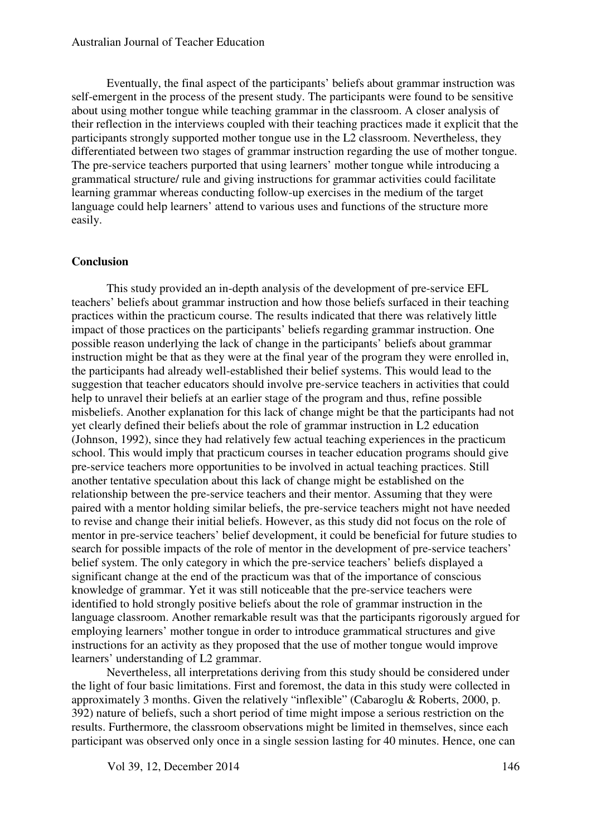Eventually, the final aspect of the participants' beliefs about grammar instruction was self-emergent in the process of the present study. The participants were found to be sensitive about using mother tongue while teaching grammar in the classroom. A closer analysis of their reflection in the interviews coupled with their teaching practices made it explicit that the participants strongly supported mother tongue use in the L2 classroom. Nevertheless, they differentiated between two stages of grammar instruction regarding the use of mother tongue. The pre-service teachers purported that using learners' mother tongue while introducing a grammatical structure/ rule and giving instructions for grammar activities could facilitate learning grammar whereas conducting follow-up exercises in the medium of the target language could help learners' attend to various uses and functions of the structure more easily.

#### **Conclusion**

This study provided an in-depth analysis of the development of pre-service EFL teachers' beliefs about grammar instruction and how those beliefs surfaced in their teaching practices within the practicum course. The results indicated that there was relatively little impact of those practices on the participants' beliefs regarding grammar instruction. One possible reason underlying the lack of change in the participants' beliefs about grammar instruction might be that as they were at the final year of the program they were enrolled in, the participants had already well-established their belief systems. This would lead to the suggestion that teacher educators should involve pre-service teachers in activities that could help to unravel their beliefs at an earlier stage of the program and thus, refine possible misbeliefs. Another explanation for this lack of change might be that the participants had not yet clearly defined their beliefs about the role of grammar instruction in L2 education (Johnson, 1992), since they had relatively few actual teaching experiences in the practicum school. This would imply that practicum courses in teacher education programs should give pre-service teachers more opportunities to be involved in actual teaching practices. Still another tentative speculation about this lack of change might be established on the relationship between the pre-service teachers and their mentor. Assuming that they were paired with a mentor holding similar beliefs, the pre-service teachers might not have needed to revise and change their initial beliefs. However, as this study did not focus on the role of mentor in pre-service teachers' belief development, it could be beneficial for future studies to search for possible impacts of the role of mentor in the development of pre-service teachers' belief system. The only category in which the pre-service teachers' beliefs displayed a significant change at the end of the practicum was that of the importance of conscious knowledge of grammar. Yet it was still noticeable that the pre-service teachers were identified to hold strongly positive beliefs about the role of grammar instruction in the language classroom. Another remarkable result was that the participants rigorously argued for employing learners' mother tongue in order to introduce grammatical structures and give instructions for an activity as they proposed that the use of mother tongue would improve learners' understanding of L2 grammar.

Nevertheless, all interpretations deriving from this study should be considered under the light of four basic limitations. First and foremost, the data in this study were collected in approximately 3 months. Given the relatively "inflexible" (Cabaroglu & Roberts, 2000, p. 392) nature of beliefs, such a short period of time might impose a serious restriction on the results. Furthermore, the classroom observations might be limited in themselves, since each participant was observed only once in a single session lasting for 40 minutes. Hence, one can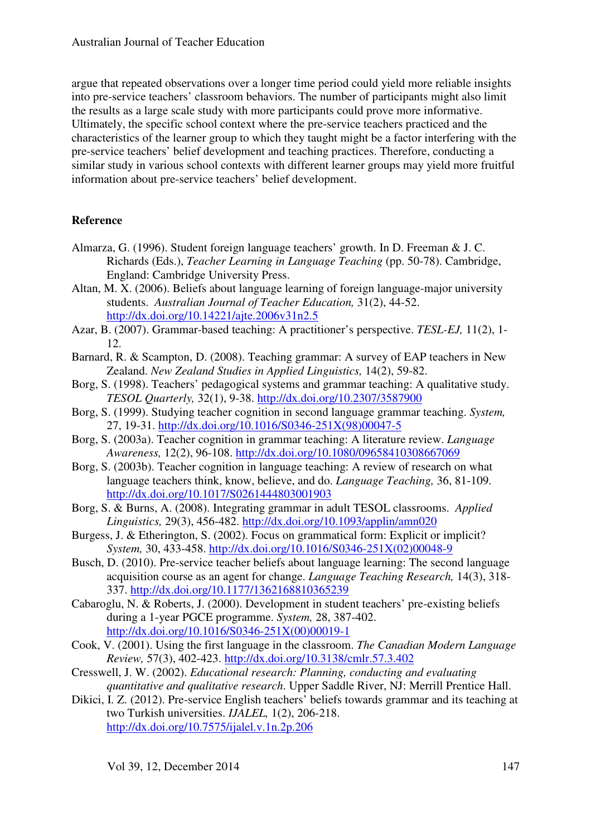argue that repeated observations over a longer time period could yield more reliable insights into pre-service teachers' classroom behaviors. The number of participants might also limit the results as a large scale study with more participants could prove more informative. Ultimately, the specific school context where the pre-service teachers practiced and the characteristics of the learner group to which they taught might be a factor interfering with the pre-service teachers' belief development and teaching practices. Therefore, conducting a similar study in various school contexts with different learner groups may yield more fruitful information about pre-service teachers' belief development.

## **Reference**

- Almarza, G. (1996). Student foreign language teachers' growth. In D. Freeman & J. C. Richards (Eds.), *Teacher Learning in Language Teaching* (pp. 50-78). Cambridge, England: Cambridge University Press.
- Altan, M. X. (2006). Beliefs about language learning of foreign language-major university students. *Australian Journal of Teacher Education,* 31(2), 44-52. http://dx.doi.org/10.14221/ajte.2006v31n2.5
- Azar, B. (2007). Grammar-based teaching: A practitioner's perspective. *TESL-EJ,* 11(2), 1- 12.
- Barnard, R. & Scampton, D. (2008). Teaching grammar: A survey of EAP teachers in New Zealand. *New Zealand Studies in Applied Linguistics,* 14(2), 59-82.
- Borg, S. (1998). Teachers' pedagogical systems and grammar teaching: A qualitative study. *TESOL Quarterly,* 32(1), 9-38. http://dx.doi.org/10.2307/3587900
- Borg, S. (1999). Studying teacher cognition in second language grammar teaching. *System,*  27, 19-31. http://dx.doi.org/10.1016/S0346-251X(98)00047-5
- Borg, S. (2003a). Teacher cognition in grammar teaching: A literature review. *Language Awareness,* 12(2), 96-108. http://dx.doi.org/10.1080/09658410308667069
- Borg, S. (2003b). Teacher cognition in language teaching: A review of research on what language teachers think, know, believe, and do. *Language Teaching,* 36, 81-109. http://dx.doi.org/10.1017/S0261444803001903
- Borg, S. & Burns, A. (2008). Integrating grammar in adult TESOL classrooms. *Applied Linguistics,* 29(3), 456-482. http://dx.doi.org/10.1093/applin/amn020
- Burgess, J. & Etherington, S. (2002). Focus on grammatical form: Explicit or implicit? *System,* 30, 433-458. http://dx.doi.org/10.1016/S0346-251X(02)00048-9
- Busch, D. (2010). Pre-service teacher beliefs about language learning: The second language acquisition course as an agent for change. *Language Teaching Research,* 14(3), 318- 337. http://dx.doi.org/10.1177/1362168810365239
- Cabaroglu, N. & Roberts, J. (2000). Development in student teachers' pre-existing beliefs during a 1-year PGCE programme. *System,* 28, 387-402. http://dx.doi.org/10.1016/S0346-251X(00)00019-1
- Cook, V. (2001). Using the first language in the classroom. *The Canadian Modern Language Review,* 57(3), 402-423. http://dx.doi.org/10.3138/cmlr.57.3.402
- Cresswell, J. W. (2002). *Educational research: Planning, conducting and evaluating quantitative and qualitative research*. Upper Saddle River, NJ: Merrill Prentice Hall.
- Dikici, I. Z. (2012). Pre-service English teachers' beliefs towards grammar and its teaching at two Turkish universities. *IJALEL,* 1(2), 206-218. http://dx.doi.org/10.7575/ijalel.v.1n.2p.206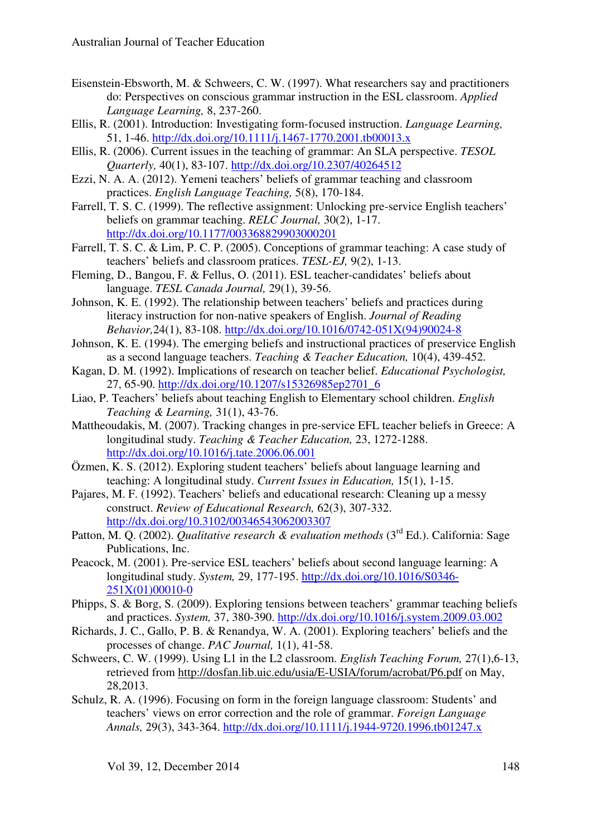- Eisenstein-Ebsworth, M. & Schweers, C. W. (1997). What researchers say and practitioners do: Perspectives on conscious grammar instruction in the ESL classroom. *Applied Language Learning,* 8, 237-260.
- Ellis, R. (2001). Introduction: Investigating form-focused instruction. *Language Learning,*  51, 1-46. http://dx.doi.org/10.1111/j.1467-1770.2001.tb00013.x
- Ellis, R. (2006). Current issues in the teaching of grammar: An SLA perspective. *TESOL Quarterly,* 40(1), 83-107. http://dx.doi.org/10.2307/40264512
- Ezzi, N. A. A. (2012). Yemeni teachers' beliefs of grammar teaching and classroom practices. *English Language Teaching,* 5(8), 170-184.
- Farrell, T. S. C. (1999). The reflective assignment: Unlocking pre-service English teachers' beliefs on grammar teaching. *RELC Journal,* 30(2), 1-17. http://dx.doi.org/10.1177/003368829903000201
- Farrell, T. S. C. & Lim, P. C. P. (2005). Conceptions of grammar teaching: A case study of teachers' beliefs and classroom pratices. *TESL-EJ,* 9(2), 1-13.
- Fleming, D., Bangou, F. & Fellus, O. (2011). ESL teacher-candidates' beliefs about language. *TESL Canada Journal,* 29(1), 39-56.
- Johnson, K. E. (1992). The relationship between teachers' beliefs and practices during literacy instruction for non-native speakers of English. *Journal of Reading Behavior,*24(1), 83-108. http://dx.doi.org/10.1016/0742-051X(94)90024-8
- Johnson, K. E. (1994). The emerging beliefs and instructional practices of preservice English as a second language teachers. *Teaching & Teacher Education,* 10(4), 439-452.
- Kagan, D. M. (1992). Implications of research on teacher belief. *Educational Psychologist,*  27, 65-90. http://dx.doi.org/10.1207/s15326985ep2701\_6
- Liao, P. Teachers' beliefs about teaching English to Elementary school children. *English Teaching & Learning,* 31(1), 43-76.
- Mattheoudakis, M. (2007). Tracking changes in pre-service EFL teacher beliefs in Greece: A longitudinal study. *Teaching & Teacher Education,* 23, 1272-1288. http://dx.doi.org/10.1016/j.tate.2006.06.001
- Özmen, K. S. (2012). Exploring student teachers' beliefs about language learning and teaching: A longitudinal study. *Current Issues in Education,* 15(1), 1-15.
- Pajares, M. F. (1992). Teachers' beliefs and educational research: Cleaning up a messy construct. *Review of Educational Research,* 62(3), 307-332. http://dx.doi.org/10.3102/00346543062003307
- Patton, M. Q. (2002). *Qualitative research & evaluation methods* (3<sup>rd</sup> Ed.). California: Sage Publications, Inc.
- Peacock, M. (2001). Pre-service ESL teachers' beliefs about second language learning: A longitudinal study. *System,* 29, 177-195. http://dx.doi.org/10.1016/S0346- 251X(01)00010-0
- Phipps, S. & Borg, S. (2009). Exploring tensions between teachers' grammar teaching beliefs and practices. *System,* 37, 380-390. http://dx.doi.org/10.1016/j.system.2009.03.002
- Richards, J. C., Gallo, P. B. & Renandya, W. A. (2001). Exploring teachers' beliefs and the processes of change. *PAC Journal,* 1(1), 41-58.
- Schweers, C. W. (1999). Using L1 in the L2 classroom. *English Teaching Forum,* 27(1),6-13, retrieved from http://dosfan.lib.uic.edu/usia/E-USIA/forum/acrobat/P6.pdf on May, 28,2013.
- Schulz, R. A. (1996). Focusing on form in the foreign language classroom: Students' and teachers' views on error correction and the role of grammar. *Foreign Language Annals,* 29(3), 343-364. http://dx.doi.org/10.1111/j.1944-9720.1996.tb01247.x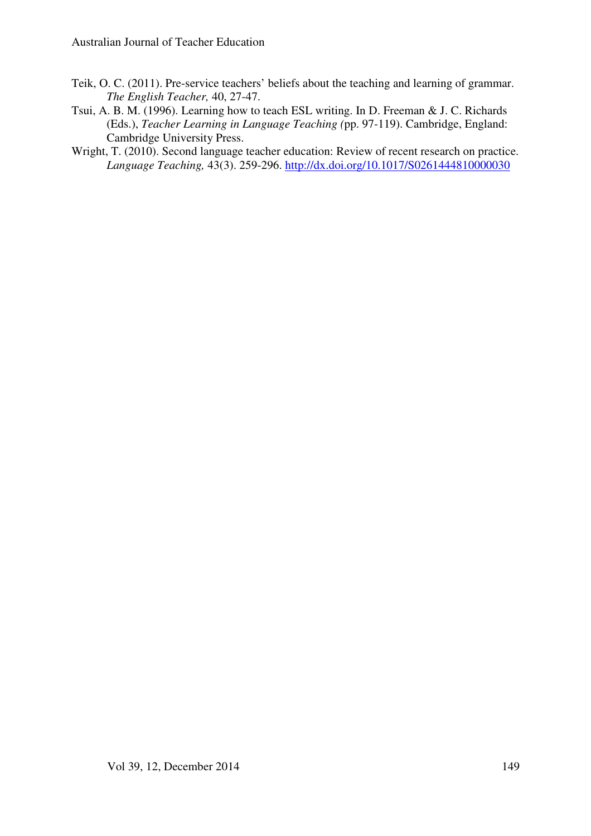- Teik, O. C. (2011). Pre-service teachers' beliefs about the teaching and learning of grammar. *The English Teacher,* 40, 27-47.
- Tsui, A. B. M. (1996). Learning how to teach ESL writing. In D. Freeman & J. C. Richards (Eds.), *Teacher Learning in Language Teaching (*pp. 97-119). Cambridge, England: Cambridge University Press.
- Wright, T. (2010). Second language teacher education: Review of recent research on practice. *Language Teaching,* 43(3). 259-296. http://dx.doi.org/10.1017/S0261444810000030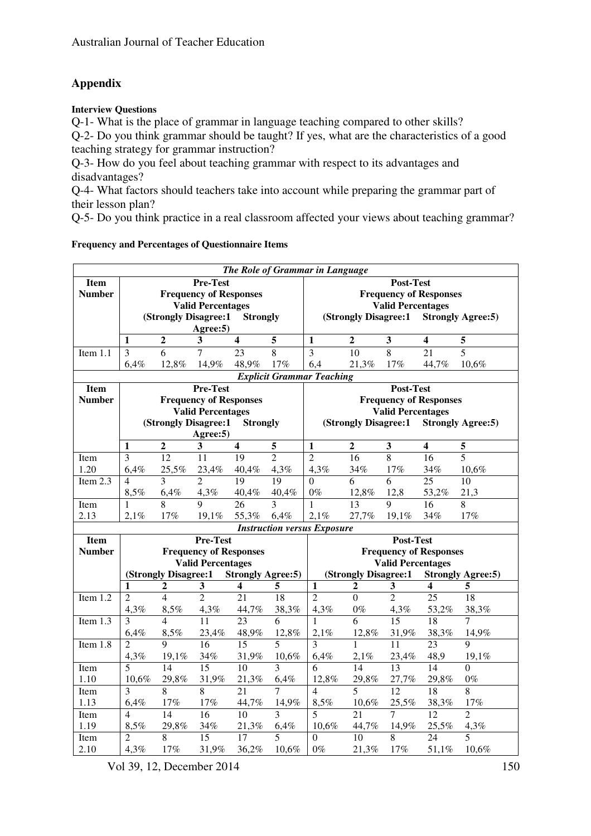## **Appendix**

#### **Interview Questions**

Q-1- What is the place of grammar in language teaching compared to other skills? Q-2- Do you think grammar should be taught? If yes, what are the characteristics of a good teaching strategy for grammar instruction?

Q-3- How do you feel about teaching grammar with respect to its advantages and disadvantages?

Q-4- What factors should teachers take into account while preparing the grammar part of their lesson plan?

Q-5- Do you think practice in a real classroom affected your views about teaching grammar?

|  |  |  | <b>Frequency and Percentages of Questionnaire Items</b> |
|--|--|--|---------------------------------------------------------|
|--|--|--|---------------------------------------------------------|

| The Role of Grammar in Language |                                                                                                           |                |                               |                         |                |                                                           |                      |                          |                               |                          |  |
|---------------------------------|-----------------------------------------------------------------------------------------------------------|----------------|-------------------------------|-------------------------|----------------|-----------------------------------------------------------|----------------------|--------------------------|-------------------------------|--------------------------|--|
| <b>Item</b>                     |                                                                                                           |                | Pre-Test                      |                         |                | Post-Test                                                 |                      |                          |                               |                          |  |
| <b>Number</b>                   |                                                                                                           |                | <b>Frequency of Responses</b> |                         |                | <b>Frequency of Responses</b>                             |                      |                          |                               |                          |  |
|                                 |                                                                                                           |                | <b>Valid Percentages</b>      |                         |                | <b>Valid Percentages</b>                                  |                      |                          |                               |                          |  |
|                                 |                                                                                                           |                | (Strongly Disagree:1          | <b>Strongly</b>         |                | (Strongly Disagree:1<br><b>Strongly Agree:5)</b>          |                      |                          |                               |                          |  |
|                                 |                                                                                                           |                | Agree: 5)                     |                         |                |                                                           |                      |                          |                               |                          |  |
|                                 | $\mathbf{1}$                                                                                              | $\overline{2}$ | 3                             | $\overline{\mathbf{4}}$ | $\overline{5}$ | $\mathbf{1}$                                              | $\overline{2}$       | $\overline{\mathbf{3}}$  | $\overline{\mathbf{4}}$       | 5                        |  |
| Item 1.1                        | $\overline{3}$                                                                                            | $\overline{6}$ | $\tau$                        | 23                      | 8              | $\overline{3}$                                            | $\overline{10}$      | $\overline{8}$           | $\overline{21}$               | $\overline{5}$           |  |
|                                 | 6,4%                                                                                                      | 12,8%          | 14,9%                         | 48,9%                   | 17%            | 6,4                                                       | 21,3%                | 17%                      | 44,7%                         | 10,6%                    |  |
|                                 |                                                                                                           |                |                               |                         |                | <b>Explicit Grammar Teaching</b>                          |                      |                          |                               |                          |  |
| <b>Item</b>                     |                                                                                                           |                | <b>Pre-Test</b>               |                         |                | Post-Test                                                 |                      |                          |                               |                          |  |
| <b>Number</b>                   |                                                                                                           |                | <b>Frequency of Responses</b> |                         |                |                                                           |                      |                          | <b>Frequency of Responses</b> |                          |  |
|                                 |                                                                                                           |                | <b>Valid Percentages</b>      |                         |                |                                                           |                      | <b>Valid Percentages</b> |                               |                          |  |
|                                 |                                                                                                           |                | (Strongly Disagree:1          | <b>Strongly</b>         |                |                                                           | (Strongly Disagree:1 |                          |                               | <b>Strongly Agree:5)</b> |  |
|                                 |                                                                                                           |                | Agree: 5)                     |                         |                |                                                           |                      |                          |                               |                          |  |
|                                 | $\mathbf{1}$                                                                                              | $\overline{2}$ | $\mathbf{3}$                  | $\overline{\mathbf{4}}$ | 5              | $\mathbf{1}$                                              | $\overline{2}$       | $\overline{\mathbf{3}}$  | $\overline{\mathbf{4}}$       | 5                        |  |
| Item                            | $\overline{3}$                                                                                            | 12             | $\overline{11}$               | 19                      | $\overline{2}$ | $\overline{2}$                                            | 16                   | $\overline{8}$           | 16                            | $\overline{5}$           |  |
| 1.20                            | 6,4%                                                                                                      | 25,5%          | 23,4%                         | 40,4%                   | 4,3%           | 4,3%                                                      | 34%                  | 17%                      | 34%                           | 10,6%                    |  |
| Item 2.3                        | $\overline{4}$                                                                                            | 3              | $\overline{2}$                | 19                      | 19             | $\Omega$                                                  | 6                    | 6                        | 25                            | 10                       |  |
|                                 | 8,5%                                                                                                      | 6,4%           | 4,3%                          | 40,4%                   | 40,4%          | $0\%$                                                     | 12,8%                | 12,8                     | 53,2%                         | 21,3                     |  |
| Item                            | 1                                                                                                         |                | 9                             | 26                      | 3              | $\mathbf{1}$                                              | 13                   | $\mathbf Q$              | 16                            | 8                        |  |
| 2.13                            | 2,1%                                                                                                      | 17%            | 19,1%                         | 55,3%                   | 6,4%           | 2,1%                                                      | 27,7%                | 19,1%                    | 34%                           | 17%                      |  |
|                                 |                                                                                                           |                |                               |                         |                | <b>Instruction versus Exposure</b>                        |                      |                          |                               |                          |  |
| <b>Item</b>                     |                                                                                                           |                | <b>Pre-Test</b>               |                         |                | Post-Test                                                 |                      |                          |                               |                          |  |
| <b>Number</b>                   |                                                                                                           |                | <b>Frequency of Responses</b> |                         |                | <b>Frequency of Responses</b><br><b>Valid Percentages</b> |                      |                          |                               |                          |  |
|                                 |                                                                                                           |                | <b>Valid Percentages</b>      |                         |                | (Strongly Disagree:1<br><b>Strongly Agree:5)</b>          |                      |                          |                               |                          |  |
|                                 | (Strongly Disagree:1<br><b>Strongly Agree:5)</b><br>$\overline{\mathbf{3}}$<br>$\boldsymbol{2}$<br>1<br>4 |                |                               |                         | 5              | $\mathbf{1}$                                              | $\overline{2}$       | $\mathbf{3}$             | $\overline{\mathbf{4}}$       | 5                        |  |
| Item 1.2                        | $\overline{2}$                                                                                            | $\overline{4}$ | $\overline{2}$                | 21                      | 18             | $\overline{2}$                                            | $\overline{0}$       | $\overline{2}$           | 25                            | 18                       |  |
|                                 | 4,3%                                                                                                      | 8,5%           | 4,3%                          | 44,7%                   | 38,3%          | 4,3%                                                      | $0\%$                | 4,3%                     | 53,2%                         | 38,3%                    |  |
| Item 1.3                        | 3                                                                                                         | $\overline{4}$ | 11                            | 23                      | 6              | $\mathbf{1}$                                              | 6                    | $\overline{15}$          | 18                            | 7                        |  |
|                                 | 6,4%                                                                                                      | 8,5%           | 23,4%                         | 48,9%                   | 12,8%          | 2,1%                                                      | 12,8%                | 31,9%                    | 38,3%                         | 14,9%                    |  |
| Item 1.8                        | $\overline{2}$                                                                                            | $\mathbf Q$    | 16                            | 15                      | $\overline{5}$ | 3                                                         | 1                    | 11                       | 23                            | 9                        |  |
|                                 | 4,3%                                                                                                      | 19,1%          | 34%                           | 31,9%                   | 10,6%          | 6,4%                                                      | 2,1%                 | 23,4%                    | 48,9                          | 19,1%                    |  |
| Item                            | 5                                                                                                         | 14             | 15                            | 10                      | $\overline{3}$ | 6                                                         | 14                   | 13                       | 14                            | $\Omega$                 |  |
| 1.10                            | $10.6\%$                                                                                                  | 29,8%          | 31,9%                         | 21,3%                   | 6,4%           | 12,8%                                                     | 29,8%                | 27,7%                    | 29,8%                         | $0\%$                    |  |
| Item                            | $\overline{3}$                                                                                            | 8              | $\overline{8}$                | 21                      | 7              | 4                                                         | 5                    | $\overline{12}$          | $\overline{18}$               | $\overline{8}$           |  |
| 1.13                            | 6,4%                                                                                                      | 17%            | 17%                           | 44,7%                   | 14,9%          | 8,5%                                                      | 10,6%                | 25,5%                    | 38,3%                         | 17%                      |  |
| Item                            | 4                                                                                                         | 14             | $\overline{16}$               | 10                      | $\overline{3}$ | 5                                                         | 21                   | $\tau$                   | 12                            | $\overline{\mathcal{L}}$ |  |
| 1.19                            | 8,5%                                                                                                      | 29,8%          | 34%                           | 21,3%                   | 6,4%           | 10,6%                                                     | 44,7%                | 14,9%                    | 25,5%                         | 4,3%                     |  |
| Item                            | $\overline{2}$                                                                                            | 8              | $\overline{15}$               | 17                      | $\overline{5}$ | $\Omega$                                                  | 10                   | 8                        | 24                            | 5                        |  |
| 2.10                            | 4,3%                                                                                                      | $17\%$         | 31,9%                         | 36,2%                   | 10,6%          | $0\%$                                                     | 21,3%                | 17%                      | 51,1%                         | 10,6%                    |  |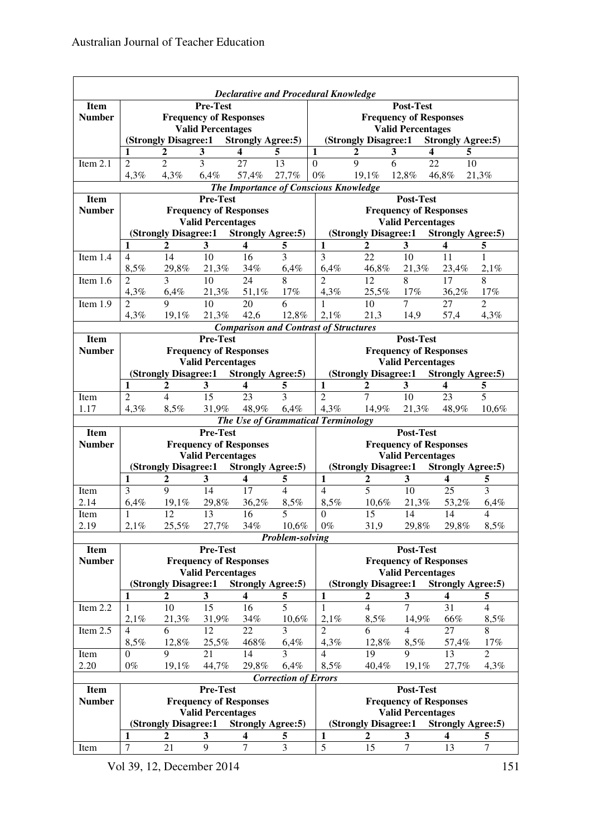| <b>Declarative and Procedural Knowledge</b> |                                                                                                     |                                        |                                                           |                          |                             |                                              |                                                                                                  |                                            |                           |                        |  |  |
|---------------------------------------------|-----------------------------------------------------------------------------------------------------|----------------------------------------|-----------------------------------------------------------|--------------------------|-----------------------------|----------------------------------------------|--------------------------------------------------------------------------------------------------|--------------------------------------------|---------------------------|------------------------|--|--|
| <b>Item</b>                                 | <b>Pre-Test</b>                                                                                     |                                        |                                                           |                          |                             |                                              | Post-Test                                                                                        |                                            |                           |                        |  |  |
| <b>Number</b>                               | <b>Frequency of Responses</b>                                                                       |                                        |                                                           |                          |                             | <b>Frequency of Responses</b>                |                                                                                                  |                                            |                           |                        |  |  |
|                                             | <b>Valid Percentages</b>                                                                            |                                        |                                                           |                          |                             |                                              | <b>Valid Percentages</b>                                                                         |                                            |                           |                        |  |  |
|                                             | (Strongly Disagree:1 Strongly Agree:5)                                                              |                                        |                                                           |                          |                             |                                              | (Strongly Disagree:1 Strongly Agree:5)                                                           |                                            |                           |                        |  |  |
|                                             | 1                                                                                                   | $\boldsymbol{2}$                       | $\mathbf{3}$                                              | 4                        | 5                           | $\mathbf{1}$                                 | $\mathbf{3}$<br>$\boldsymbol{2}$                                                                 | 4                                          | 5                         |                        |  |  |
| Item 2.1                                    | $\overline{2}$                                                                                      | $\overline{2}$                         | $\overline{3}$                                            | 27                       | $\overline{13}$             | $\overline{0}$                               | $\overline{9}$<br>$\overline{6}$                                                                 | 22                                         | 10                        |                        |  |  |
|                                             | 4,3%                                                                                                | 4,3%                                   | 6,4%                                                      | 57,4%                    | 27,7%                       | $0\%$                                        | 19,1%                                                                                            | 12,8%                                      | 46,8%                     | 21,3%                  |  |  |
|                                             | The Importance of Conscious Knowledge                                                               |                                        |                                                           |                          |                             |                                              |                                                                                                  |                                            |                           |                        |  |  |
| <b>Item</b>                                 |                                                                                                     |                                        | <b>Pre-Test</b>                                           |                          |                             | Post-Test                                    |                                                                                                  |                                            |                           |                        |  |  |
| <b>Number</b>                               | <b>Frequency of Responses</b><br><b>Valid Percentages</b>                                           |                                        |                                                           |                          |                             |                                              | <b>Frequency of Responses</b>                                                                    |                                            |                           |                        |  |  |
|                                             |                                                                                                     | (Strongly Disagree:1 Strongly Agree:5) |                                                           |                          |                             |                                              | <b>Valid Percentages</b>                                                                         |                                            |                           |                        |  |  |
|                                             | 1                                                                                                   | $\mathbf{2}$                           | $\mathbf{3}$                                              | $\overline{\mathbf{4}}$  | 5                           | $\mathbf{1}$                                 | (Strongly Disagree:1<br><b>Strongly Agree:5)</b><br>$\mathbf{2}$<br>3<br>$\overline{\mathbf{4}}$ |                                            |                           |                        |  |  |
| Item 1.4                                    | $\overline{4}$                                                                                      | 14                                     | 10                                                        | 16                       | 3                           | 3                                            | 22                                                                                               | 10                                         | 11                        | 5<br>$\mathbf{1}$      |  |  |
|                                             | 8,5%                                                                                                | 29,8%                                  | 21,3%                                                     | 34%                      | 6,4%                        | 6,4%                                         | 46,8%                                                                                            | 21,3%                                      | 23,4%                     | 2,1%                   |  |  |
| Item 1.6                                    | 2                                                                                                   | $\overline{3}$                         | 10                                                        | 24                       | $\overline{8}$              | $\overline{2}$                               | $\overline{12}$                                                                                  | 8                                          | 17                        | $\overline{8}$         |  |  |
|                                             | 4,3%                                                                                                | 6,4%                                   | 21,3%                                                     | 51,1%                    | 17%                         | 4,3%                                         | 25,5%                                                                                            | 17%                                        | 36,2%                     | 17%                    |  |  |
| Item 1.9                                    | 2                                                                                                   | 9                                      | 10                                                        | 20                       | 6                           | $\mathbf{1}$                                 | 10                                                                                               | $\overline{7}$                             | 27                        | $\overline{2}$         |  |  |
|                                             | 4,3%                                                                                                | 19,1%                                  | 21,3%                                                     | 42,6                     | 12,8%                       | 2,1%                                         | 21,3                                                                                             | 14,9                                       | 57,4                      | 4,3%                   |  |  |
|                                             |                                                                                                     |                                        |                                                           |                          |                             | <b>Comparison and Contrast of Structures</b> |                                                                                                  |                                            |                           |                        |  |  |
| <b>Item</b>                                 |                                                                                                     |                                        | <b>Pre-Test</b>                                           |                          |                             |                                              | Post-Test                                                                                        |                                            |                           |                        |  |  |
| <b>Number</b>                               |                                                                                                     |                                        | <b>Frequency of Responses</b>                             |                          |                             |                                              | <b>Frequency of Responses</b>                                                                    |                                            |                           |                        |  |  |
|                                             |                                                                                                     |                                        | <b>Valid Percentages</b>                                  |                          |                             |                                              |                                                                                                  | <b>Valid Percentages</b>                   |                           |                        |  |  |
|                                             |                                                                                                     | (Strongly Disagree:1 Strongly Agree:5) |                                                           |                          |                             |                                              | (Strongly Disagree:1 Strongly Agree:5)                                                           |                                            |                           |                        |  |  |
|                                             | $\mathbf{1}$                                                                                        | $\overline{2}$                         | $\overline{\mathbf{3}}$                                   | $\overline{\mathbf{4}}$  | 5                           | $\mathbf{1}$                                 | $\boldsymbol{2}$                                                                                 | 3                                          | $\overline{\mathbf{4}}$   | 5                      |  |  |
| Item                                        | 2                                                                                                   | $\overline{4}$                         | 15                                                        | 23                       | 3                           | $\overline{2}$                               | $\overline{7}$                                                                                   | 10                                         | 23                        | $\overline{5}$         |  |  |
| 1.17                                        | 4,3%                                                                                                | 8,5%                                   | 31,9%                                                     | 48,9%                    | 6,4%                        | 4,3%                                         | 14,9%                                                                                            | 21,3%                                      | 48,9%                     | 10,6%                  |  |  |
|                                             |                                                                                                     |                                        |                                                           |                          |                             | The Use of Grammatical Terminology           |                                                                                                  |                                            |                           |                        |  |  |
| Item                                        |                                                                                                     |                                        | <b>Pre-Test</b>                                           |                          |                             |                                              |                                                                                                  | Post-Test                                  |                           |                        |  |  |
| <b>Number</b>                               | <b>Frequency of Responses</b><br><b>Valid Percentages</b><br>(Strongly Disagree:1 Strongly Agree:5) |                                        |                                                           |                          |                             |                                              |                                                                                                  |                                            |                           |                        |  |  |
|                                             |                                                                                                     |                                        |                                                           |                          |                             |                                              |                                                                                                  | <b>Frequency of Responses</b>              |                           |                        |  |  |
|                                             |                                                                                                     |                                        |                                                           |                          |                             |                                              |                                                                                                  | <b>Valid Percentages</b>                   |                           |                        |  |  |
|                                             |                                                                                                     |                                        |                                                           |                          |                             |                                              | (Strongly Disagree:1 Strongly Agree:5)                                                           |                                            |                           |                        |  |  |
|                                             | $\mathbf{1}$                                                                                        | $\overline{2}$<br>$\mathbf Q$          | $\overline{\mathbf{3}}$                                   | $\overline{\mathbf{4}}$  | 5                           | $\mathbf{1}$<br>$\overline{4}$               | $\overline{2}$                                                                                   | 3 <sup>1</sup>                             | $\overline{\mathbf{4}}$   | 5                      |  |  |
| Item<br>2.14                                | $\overline{3}$                                                                                      | $19.1\%$                               | 14                                                        | 17                       | $\overline{4}$              |                                              | $\overline{5}$<br>$10.6\%$                                                                       | 10                                         | 25                        | $\overline{3}$         |  |  |
| Item                                        | 6,4%<br>$\mathbf{1}$                                                                                | 12                                     | 29,8%<br>$\overline{13}$                                  | 36,2%<br>16              | 8,5%<br>5                   | 8,5%<br>$\Omega$                             | $\overline{15}$                                                                                  | 21,3%<br>14                                | 53,2%<br>14               | 6,4%<br>$\overline{4}$ |  |  |
| 2.19                                        | 2,1%                                                                                                | 25,5%                                  | 27,7%                                                     | 34%                      | 10,6%                       | $0\%$                                        | 31,9                                                                                             | 29,8%                                      | 29,8%                     | 8,5%                   |  |  |
|                                             |                                                                                                     |                                        |                                                           |                          | Problem-solving             |                                              |                                                                                                  |                                            |                           |                        |  |  |
| <b>Item</b>                                 |                                                                                                     |                                        | Pre-Test                                                  |                          |                             |                                              |                                                                                                  | Post-Test                                  |                           |                        |  |  |
| <b>Number</b>                               |                                                                                                     |                                        | <b>Frequency of Responses</b>                             |                          |                             |                                              |                                                                                                  | <b>Frequency of Responses</b>              |                           |                        |  |  |
|                                             |                                                                                                     |                                        | <b>Valid Percentages</b>                                  |                          |                             |                                              |                                                                                                  | <b>Valid Percentages</b>                   |                           |                        |  |  |
|                                             |                                                                                                     | (Strongly Disagree:1)                  |                                                           | <b>Strongly Agree:5)</b> |                             |                                              | (Strongly Disagree:1)                                                                            |                                            | <b>Strongly Agree: 5)</b> |                        |  |  |
|                                             | 1                                                                                                   | 2                                      | 3                                                         | 4                        | 5                           | 1                                            | 2                                                                                                | 3                                          | 4                         | 5                      |  |  |
| Item 2.2                                    | 1                                                                                                   | 10                                     | 15                                                        | 16                       | $\overline{5}$              | $\mathbf{1}$                                 | $\overline{4}$                                                                                   | $\overline{7}$                             | 31                        | $\overline{4}$         |  |  |
|                                             | 2,1%                                                                                                | 21,3%                                  | 31,9%                                                     | 34%                      | 10,6%                       | 2,1%                                         | 8,5%                                                                                             | 14,9%                                      | 66%                       | 8,5%                   |  |  |
| Item 2.5                                    | 4                                                                                                   | 6                                      | 12                                                        | 22                       | 3                           | $\overline{2}$                               | 6                                                                                                | $\overline{4}$                             | 27                        | 8                      |  |  |
|                                             | 8,5%                                                                                                | 12,8%                                  | 25,5%                                                     | 468%                     | 6,4%                        | 4,3%                                         | 12,8%                                                                                            | 8,5%                                       | 57,4%                     | 17%                    |  |  |
| Item                                        | $\Omega$                                                                                            | 9                                      | 21                                                        | 14                       | 3                           | $\overline{4}$                               | 19                                                                                               | 9                                          | 13                        | $\overline{2}$         |  |  |
| 2.20                                        | $0\%$                                                                                               | 19,1%                                  | 44,7%                                                     | 29,8%                    | 6,4%                        | 8,5%                                         | 40,4%                                                                                            | 19,1%                                      | 27,7%                     | 4,3%                   |  |  |
|                                             |                                                                                                     |                                        |                                                           |                          | <b>Correction of Errors</b> |                                              |                                                                                                  |                                            |                           |                        |  |  |
| <b>Item</b><br><b>Number</b>                |                                                                                                     |                                        | Pre-Test                                                  |                          |                             |                                              |                                                                                                  | Post-Test<br><b>Frequency of Responses</b> |                           |                        |  |  |
|                                             |                                                                                                     |                                        | <b>Frequency of Responses</b><br><b>Valid Percentages</b> |                          |                             |                                              |                                                                                                  | <b>Valid Percentages</b>                   |                           |                        |  |  |
|                                             |                                                                                                     | (Strongly Disagree:1                   |                                                           | <b>Strongly Agree:5)</b> |                             |                                              | (Strongly Disagree:1                                                                             |                                            | <b>Strongly Agree: 5)</b> |                        |  |  |
| Item                                        | 1<br>$\boldsymbol{7}$                                                                               | $\boldsymbol{2}$<br>21                 | 3<br>9                                                    | 4<br>$\tau$              | 5<br>3                      | 1<br>$\overline{5}$                          | 2<br>15                                                                                          | 3<br>$\tau$                                | 4<br>13                   | 5<br>$\tau$            |  |  |